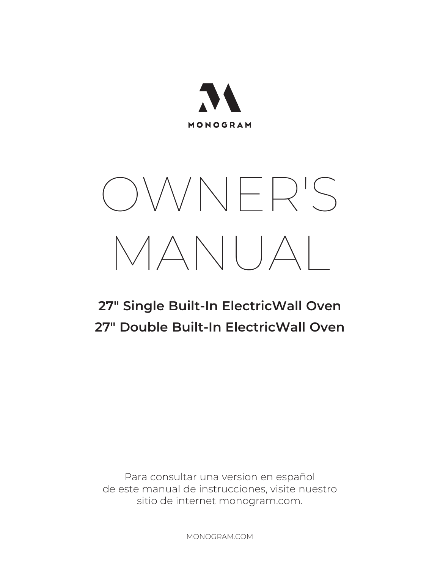

# OWNER'S MANUAL

## **27" Single Built-In ElectricWall Oven 27" Double Built-In ElectricWall Oven**

Para consultar una version en español de este manual de instrucciones, visite nuestro sitio de internet monogram.com.

MONOGRAM.COM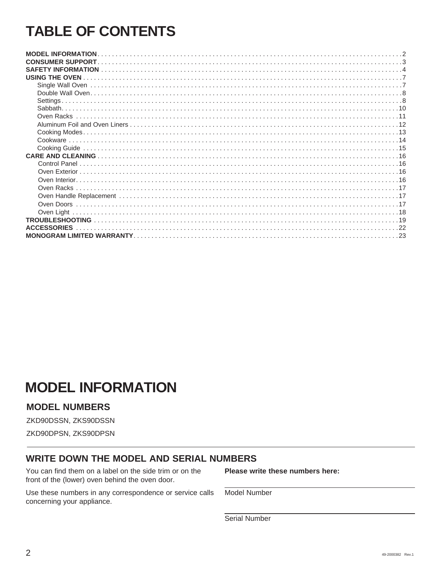## **TABLE OF CONTENTS**

| <b>USING THE OVEN</b> |
|-----------------------|
|                       |
|                       |
| Settings              |
|                       |
|                       |
|                       |
|                       |
|                       |
|                       |
|                       |
|                       |
|                       |
|                       |
|                       |
|                       |
|                       |
| Oven Light            |
|                       |
| <b>FSSORIFS</b>       |
|                       |

## **MODEL INFORMATION**

## **MODEL NUMBERS**

ZKD90DSSN, ZKS90DSSN

ZKD90DPSN, ZKS90DPSN

## **WRITE DOWN THE MODEL AND SERIAL NUMBERS**

You can find them on a label on the side trim or on the front of the (lower) oven behind the oven door.

Use these numbers in any correspondence or service calls concerning your appliance.

Please write these numbers here:

Model Number

Serial Number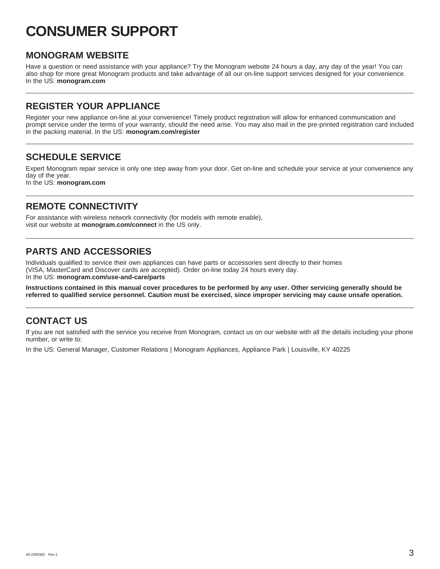## **CONSUMER SUPPORT**

## **MONOGRAM WEBSITE**

Have a question or need assistance with your appliance? Try the Monogram website 24 hours a day, any day of the year! You can also shop for more great Monogram products and take advantage of all our on-line support services designed for your convenience. In the US: **monogram.com**

## **REGISTER YOUR APPLIANCE**

Register your new appliance on-line at your convenience! Timely product registration will allow for enhanced communication and prompt service under the terms of your warranty, should the need arise. You may also mail in the pre-printed registration card included in the packing material. In the US: **monogram.com/register**

## **SCHEDULE SERVICE**

Expert Monogram repair service is only one step away from your door. Get on-line and schedule your service at your convenience any day of the year.

In the US: **monogram.com**

## **REMOTE CONNECTIVITY**

For assistance with wireless network connectivity (for models with remote enable), visit our website at **monogram.com/connect** in the US only.

## **PARTS AND ACCESSORIES**

Individuals qualified to service their own appliances can have parts or accessories sent directly to their homes (VISA, MasterCard and Discover cards are accepted). Order on-line today 24 hours every day. In the US: **monogram.com/use-and-care/parts**

**Instructions contained in this manual cover procedures to be performed by any user. Other servicing generally should be referred to qualified service personnel. Caution must be exercised, since improper servicing may cause unsafe operation.**

## **CONTACT US**

If you are not satisfied with the service you receive from Monogram, contact us on our website with all the details including your phone number, or write to:

In the US: General Manager, Customer Relations | Monogram Appliances, Appliance Park | Louisville, KY 40225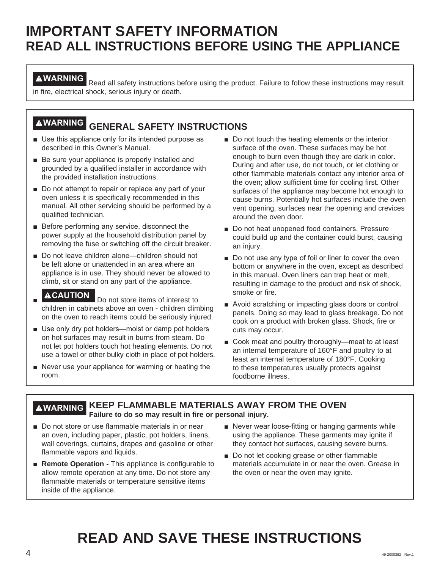## **IMPORTANT SAFETY INFORMATION READ ALL INSTRUCTIONS BEFORE USING THE APPLIANCE**

**AWARNING** Read all safety instructions before using the product. Failure to follow these instructions may result in fire, electrical shock, serious injury or death.

## **WARNING GENERAL SAFETY INSTRUCTIONS**

- $\blacksquare$  Use this appliance only for its intended purpose as described in this Owner's Manual.
- $\blacksquare$  Be sure your appliance is properly installed and grounded by a qualified installer in accordance with the provided installation instructions.
- $\blacksquare$  Do not attempt to repair or replace any part of your oven unless it is specifically recommended in this manual. All other servicing should be performed by a qualified technician.
- $\blacksquare$  Before performing any service, disconnect the power supply at the household distribution panel by removing the fuse or switching off the circuit breaker.
- Do not leave children alone—children should not be left alone or unattended in an area where an appliance is in use. They should never be allowed to climb, sit or stand on any part of the appliance.
- **ACAUTION** Do not store items of interest to children in cabinets above an oven - children climbing on the oven to reach items could be seriously injured.
- $\blacksquare$  Use only dry pot holders—moist or damp pot holders on hot surfaces may result in burns from steam. Do not let pot holders touch hot heating elements. Do not use a towel or other bulky cloth in place of pot holders.
- $\blacksquare$  Never use your appliance for warming or heating the room.
- $\blacksquare$  Do not touch the heating elements or the interior surface of the oven. These surfaces may be hot enough to burn even though they are dark in color. During and after use, do not touch, or let clothing or other flammable materials contact any interior area of the oven; allow sufficient time for cooling first. Other surfaces of the appliance may become hot enough to cause burns. Potentially hot surfaces include the oven vent opening, surfaces near the opening and crevices around the oven door.
- Do not heat unopened food containers. Pressure could build up and the container could burst, causing an injury.
- Do not use any type of foil or liner to cover the oven bottom or anywhere in the oven, except as described in this manual. Oven liners can trap heat or melt, resulting in damage to the product and risk of shock, smoke or fire.
- Avoid scratching or impacting glass doors or control panels. Doing so may lead to glass breakage. Do not cook on a product with broken glass. Shock, fire or cuts may occur.
- Cook meat and poultry thoroughly-meat to at least an internal temperature of 160°F and poultry to at least an internal temperature of 180°F. Cooking to these temperatures usually protects against foodborne illness.

## **WARNING KEEP FLAMMABLE MATERIALS AWAY FROM THE OVEN Failure to do so may result in fire or personal injury.**

- Do not store or use flammable materials in or near an oven, including paper, plastic, pot holders, linens, wall coverings, curtains, drapes and gasoline or other flammable vapors and liquids.
- **Remote Operation -** This appliance is configurable to allow remote operation at any time. Do not store any flammable materials or temperature sensitive items inside of the appliance.
- Never wear loose-fitting or hanging garments while using the appliance. These garments may ignite if they contact hot surfaces, causing severe burns.
- Do not let cooking grease or other flammable materials accumulate in or near the oven. Grease in the oven or near the oven may ignite.

## **READ AND SAVE THESE INSTRUCTIONS**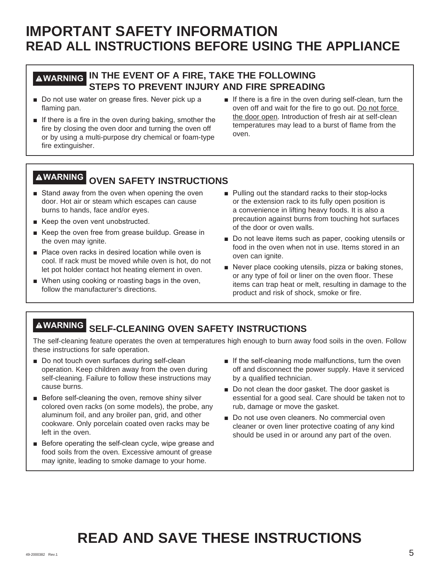## **IMPORTANT SAFETY INFORMATION READ ALL INSTRUCTIONS BEFORE USING THE APPLIANCE**

## **WARNING IN THE EVENT OF A FIRE, TAKE THE FOLLOWING STEPS TO PREVENT INJURY AND FIRE SPREADING**

- Do not use water on grease fires. Never pick up a flaming pan.
- $\blacksquare$  If there is a fire in the oven during baking, smother the fire by closing the oven door and turning the oven off or by using a multi-purpose dry chemical or foam-type fire extinguisher.
- $\blacksquare$  If there is a fire in the oven during self-clean, turn the oven off and wait for the fire to go out. Do not force the door open. Introduction of fresh air at self-clean temperatures may lead to a burst of flame from the oven.

## **WARNING OVEN SAFETY INSTRUCTIONS**

- Stand away from the oven when opening the oven door. Hot air or steam which escapes can cause burns to hands, face and/or eyes.
- Keep the oven vent unobstructed.
- Keep the oven free from grease buildup. Grease in the oven may ignite.
- **Place oven racks in desired location while oven is** cool. If rack must be moved while oven is hot, do not let pot holder contact hot heating element in oven.
- When using cooking or roasting bags in the oven, follow the manufacturer's directions.
- Pulling out the standard racks to their stop-locks or the extension rack to its fully open position is a convenience in lifting heavy foods. It is also a precaution against burns from touching hot surfaces of the door or oven walls.
- Do not leave items such as paper, cooking utensils or food in the oven when not in use. Items stored in an oven can ignite.
- Never place cooking utensils, pizza or baking stones, or any type of foil or liner on the oven floor. These items can trap heat or melt, resulting in damage to the product and risk of shock, smoke or fire.

## **WARNING SELF-CLEANING OVEN SAFETY INSTRUCTIONS**

The self-cleaning feature operates the oven at temperatures high enough to burn away food soils in the oven. Follow these instructions for safe operation.

- Do not touch oven surfaces during self-clean operation. Keep children away from the oven during self-cleaning. Failure to follow these instructions may cause burns.
- $\blacksquare$  Before self-cleaning the oven, remove shiny silver colored oven racks (on some models), the probe, any aluminum foil, and any broiler pan, grid, and other cookware. Only porcelain coated oven racks may be left in the oven.
- $\blacksquare$  Before operating the self-clean cycle, wipe grease and food soils from the oven. Excessive amount of grease may ignite, leading to smoke damage to your home.
- $\blacksquare$  If the self-cleaning mode malfunctions, turn the oven off and disconnect the power supply. Have it serviced by a qualified technician.
- Do not clean the door gasket. The door gasket is essential for a good seal. Care should be taken not to rub, damage or move the gasket.
- Do not use oven cleaners. No commercial oven cleaner or oven liner protective coating of any kind should be used in or around any part of the oven.

## **READ AND SAVE THESE INSTRUCTIONS**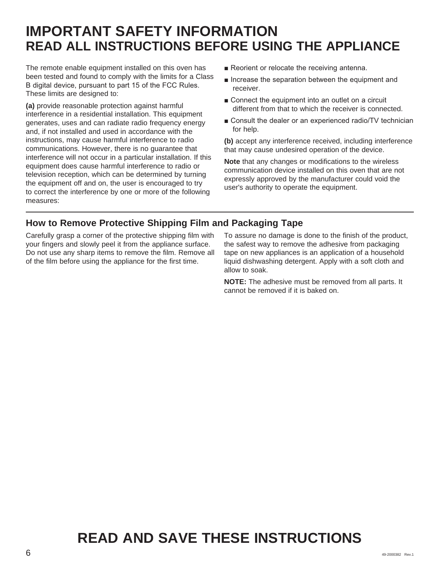## **IMPORTANT SAFETY INFORMATION READ ALL INSTRUCTIONS BEFORE USING THE APPLIANCE**

The remote enable equipment installed on this oven has been tested and found to comply with the limits for a Class B digital device, pursuant to part 15 of the FCC Rules. These limits are designed to:

**(a)** provide reasonable protection against harmful interference in a residential installation. This equipment generates, uses and can radiate radio frequency energy and, if not installed and used in accordance with the instructions, may cause harmful interference to radio communications. However, there is no guarantee that interference will not occur in a particular installation. If this equipment does cause harmful interference to radio or television reception, which can be determined by turning the equipment off and on, the user is encouraged to try to correct the interference by one or more of the following measures:

- Reorient or relocate the receiving antenna.
- $\blacksquare$  Increase the separation between the equipment and receiver.
- Connect the equipment into an outlet on a circuit different from that to which the receiver is connected.
- Consult the dealer or an experienced radio/TV technician for help.

**(b)** accept any interference received, including interference that may cause undesired operation of the device.

**Note** that any changes or modifications to the wireless communication device installed on this oven that are not expressly approved by the manufacturer could void the user's authority to operate the equipment.

## **How to Remove Protective Shipping Film and Packaging Tape**

Carefully grasp a corner of the protective shipping film with your fingers and slowly peel it from the appliance surface. Do not use any sharp items to remove the film. Remove all of the film before using the appliance for the first time.

To assure no damage is done to the finish of the product, the safest way to remove the adhesive from packaging tape on new appliances is an application of a household liquid dishwashing detergent. Apply with a soft cloth and allow to soak.

**NOTE:** The adhesive must be removed from all parts. It cannot be removed if it is baked on.

## **READ AND SAVE THESE INSTRUCTIONS**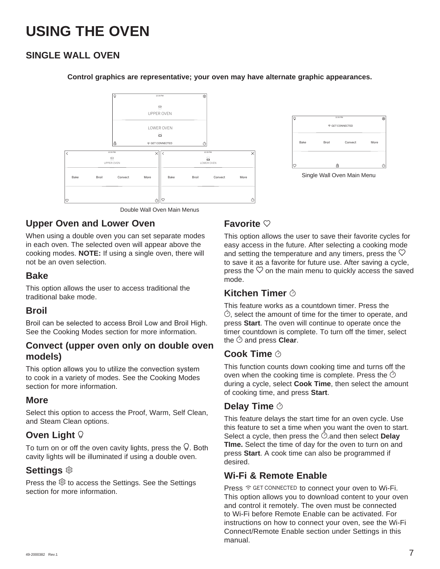## **SINGLE WALL OVEN**



## m. → GET CONNECTED More  $\phi$ 吊 Single Wall Oven Main Menu

Double Wall Oven Main Menus

## **Upper Oven and Lower Oven**

When using a double oven you can set separate modes in each oven. The selected oven will appear above the cooking modes. **NOTE:** If using a single oven, there will not be an oven selection.

## **Bake**

This option allows the user to access traditional the traditional bake mode.

## **Broil**

Broil can be selected to access Broil Low and Broil High. See the Cooking Modes section for more information.

## **Convect (upper oven only on double oven models)**

This option allows you to utilize the convection system to cook in a variety of modes. See the Cooking Modes section for more information.

## **More**

Select this option to access the Proof, Warm, Self Clean, and Steam Clean options.

## **Oven Light**

To turn on or off the oven cavity lights, press the  $\vee$ . Both cavity lights will be illuminated if using a double oven.

## **Settings**

Press the  $\circledS$  to access the Settings. See the Settings section for more information.

## **Favorite**

**Control graphics are representative; your oven may have alternate graphic appearances.**

This option allows the user to save their favorite cycles for easy access in the future. After selecting a cooking mode and setting the temperature and any timers, press the  $\heartsuit$ to save it as a favorite for future use. After saving a cycle, press the  $\heartsuit$  on the main menu to quickly access the saved mode.

## **Kitchen Timer**

This feature works as a countdown timer. Press the  $\heartsuit$ , select the amount of time for the timer to operate, and press **Start**. The oven will continue to operate once the timer countdown is complete. To turn off the timer, select the  $\hat{\circ}$  and press **Clear**.

## **Cook Time**

This function counts down cooking time and turns off the oven when the cooking time is complete. Press the  $\heartsuit$ during a cycle, select **Cook Time**, then select the amount of cooking time, and press **Start**.

## **Delay Time**

This feature delays the start time for an oven cycle. Use this feature to set a time when you want the oven to start. Select a cycle, then press the  $\odot$  and then select **Delay TIme.** Select the time of day for the oven to turn on and press **Start**. A cook time can also be programmed if desired.

## **Wi-Fi & Remote Enable**

Press  $\widehat{\tau}$  GET CONNECTED to connect your oven to Wi-Fi. This option allows you to download content to your oven and control it remotely. The oven must be connected to Wi-Fi before Remote Enable can be activated. For instructions on how to connect your oven, see the Wi-Fi Connect/Remote Enable section under Settings in this manual.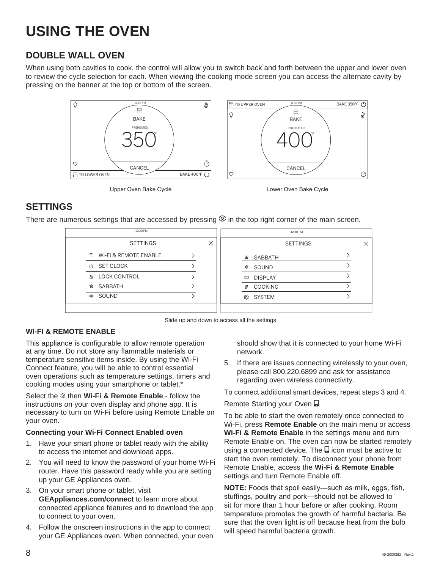## **DOUBLE WALL OVEN**

When using both cavities to cook, the control will allow you to switch back and forth between the upper and lower oven to review the cycle selection for each. When viewing the cooking mode screen you can access the alternate cavity by pressing on the banner at the top or bottom of the screen.



## **SETTINGS**

There are numerous settings that are accessed by pressing  $\mathcal{D}$  in the top right corner of the main screen.

| 12:30 PM                                      |      |                | 12:30 PM        |  |
|-----------------------------------------------|------|----------------|-----------------|--|
| <b>SETTINGS</b>                               |      |                | <b>SETTINGS</b> |  |
| $\widehat{\mathcal{F}}$ Wi-Fi & REMOTE ENABLE | ☆    | SABBATH        |                 |  |
| SET CLOCK<br>Ò                                | Φ    | SOUND          |                 |  |
| <b>A LOCK CONTROL</b>                         | ▫    | <b>DISPLAY</b> |                 |  |
| SABBATH<br>☆                                  | Æ    | <b>COOKING</b> |                 |  |
| SOUND<br>40                                   | গ্রি | <b>SYSTEM</b>  |                 |  |
|                                               |      |                |                 |  |

Slide up and down to access all the settings

## **WI-FI & REMOTE ENABLE**

This appliance is configurable to allow remote operation at any time. Do not store any flammable materials or temperature sensitive items inside. By using the Wi-Fi Connect feature, you will be able to control essential oven operations such as temperature settings, timers and cooking modes using your smartphone or tablet.\*

Select the  $\otimes$  then **Wi-Fi & Remote Enable** - follow the instructions on your oven display and phone app. It is necessary to turn on Wi-Fi before using Remote Enable on your oven.

### **Connecting your Wi-Fi Connect Enabled oven**

- 1. Have your smart phone or tablet ready with the ability to access the internet and download apps.
- 2. You will need to know the password of your home Wi-Fi router. Have this password ready while you are setting up your GE Appliances oven.
- 3. On your smart phone or tablet, visit **GEAppliances.com/connect** to learn more about connected appliance features and to download the app to connect to your oven.
- 4. Follow the onscreen instructions in the app to connect your GE Appliances oven. When connected, your oven

should show that it is connected to your home Wi-Fi network.

5. If there are issues connecting wirelessly to your oven, please call 800.220.6899 and ask for assistance regarding oven wireless connectivity.

To connect additional smart devices, repeat steps 3 and 4.

### Remote Starting your Oven  $\Box$

To be able to start the oven remotely once connected to Wi-Fi, press **Remote Enable** on the main menu or access **Wi-Fi & Remote Enable** in the settings menu and turn Remote Enable on. The oven can now be started remotely using a connected device. The  $\Box$  icon must be active to start the oven remotely. To disconnect your phone from Remote Enable, access the **Wi-Fi & Remote Enable** settings and turn Remote Enable off.

**NOTE:** Foods that spoil easily-such as milk, eggs, fish, stuffings, poultry and pork-should not be allowed to sit for more than 1 hour before or after cooking. Room temperature promotes the growth of harmful bacteria. Be sure that the oven light is off because heat from the bulb will speed harmful bacteria growth.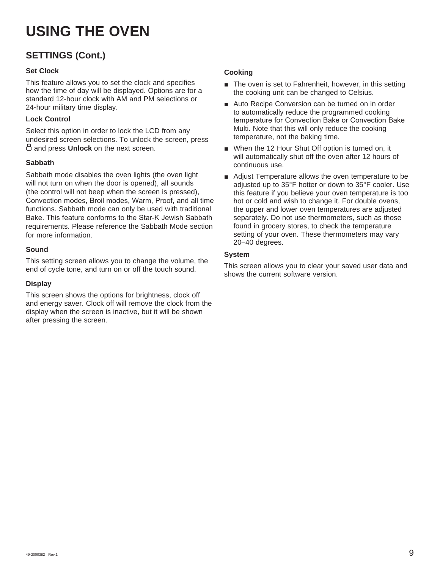## **SETTINGS (Cont.)**

## **Set Clock**

This feature allows you to set the clock and specifies how the time of day will be displayed. Options are for a standard 12-hour clock with AM and PM selections or 24-hour military time display.

### **Lock Control**

Select this option in order to lock the LCD from any undesired screen selections. To unlock the screen, press and press **Unlock** on the next screen.

### **Sabbath**

Sabbath mode disables the oven lights (the oven light will not turn on when the door is opened), all sounds (the control will not beep when the screen is pressed), Convection modes, Broil modes, Warm, Proof, and all time functions. Sabbath mode can only be used with traditional Bake. This feature conforms to the Star-K Jewish Sabbath requirements. Please reference the Sabbath Mode section for more information.

### **Sound**

This setting screen allows you to change the volume, the end of cycle tone, and turn on or off the touch sound.

## **Display**

This screen shows the options for brightness, clock off and energy saver. Clock off will remove the clock from the display when the screen is inactive, but it will be shown after pressing the screen.

## **Cooking**

- **The oven is set to Fahrenheit, however, in this setting** the cooking unit can be changed to Celsius.
- Auto Recipe Conversion can be turned on in order to automatically reduce the programmed cooking temperature for Convection Bake or Convection Bake Multi. Note that this will only reduce the cooking temperature, not the baking time.
- **No. 2 When the 12 Hour Shut Off option is turned on, it** will automatically shut off the oven after 12 hours of continuous use.
- **Adjust Temperature allows the oven temperature to be** adjusted up to 35°F hotter or down to 35°F cooler. Use this feature if you believe your oven temperature is too hot or cold and wish to change it. For double ovens, the upper and lower oven temperatures are adjusted separately. Do not use thermometers, such as those found in grocery stores, to check the temperature setting of your oven. These thermometers may vary 20–40 degrees.

## **System**

This screen allows you to clear your saved user data and shows the current software version.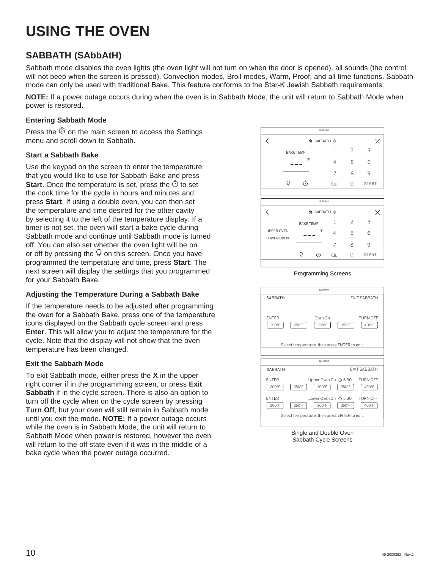## **SABBATH (SAbbAtH)**

Sabbath mode disables the oven lights (the oven light will not turn on when the door is opened), all sounds (the control will not beep when the screen is pressed), Convection modes, Broil modes, Warm, Proof, and all time functions. Sabbath mode can only be used with traditional Bake. This feature conforms to the Star-K Jewish Sabbath requirements.

**NOTE:** If a power outage occurs during when the oven is in Sabbath Mode, the unit will return to Sabbath Mode when power is restored.

## **Entering Sabbath Mode**

Press the  $\hat{\heartsuit}$  on the main screen to access the Settings menu and scroll down to Sabbath.

## **Start a Sabbath Bake**

Use the keypad on the screen to enter the temperature that you would like to use for Sabbath Bake and press **Start**. Once the temperature is set, press the  $\heartsuit$  to set the cook time for the cycle in hours and minutes and press **Start**. If using a double oven, you can then set the temperature and time desired for the other cavity by selecting it to the left of the temperature display. If a timer is not set, the oven will start a bake cycle during Sabbath mode and continue until Sabbath mode is turned off. You can also set whether the oven light will be on or off by pressing the  $\mathcal Q$  on this screen. Once you have programmed the temperature and time, press **Start**. The next screen will display the settings that you programmed for your Sabbath Bake.

## **Adjusting the Temperature During a Sabbath Bake**

If the temperature needs to be adjusted after programming the oven for a Sabbath Bake, press one of the temperature icons displayed on the Sabbath cycle screen and press **Enter**. This will allow you to adjust the temperature for the cycle. Note that the display will not show that the oven temperature has been changed.

### **Exit the Sabbath Mode**

To exit Sabbath mode, either press the **X** in the upper right corner if in the programming screen, or press **Exit Sabbath** if in the cycle screen. There is also an option to turn off the cycle when on the cycle screen by pressing **Turn Off**, but your oven will still remain in Sabbath mode until you exit the mode. **NOTE:** If a power outage occurs while the oven is in Sabbath Mode, the unit will return to Sabbath Mode when power is restored, however the oven will return to the off state even if it was in the middle of a bake cycle when the power outage occurred.



Programming Screens



Single and Double Oven Sabbath Cycle Screens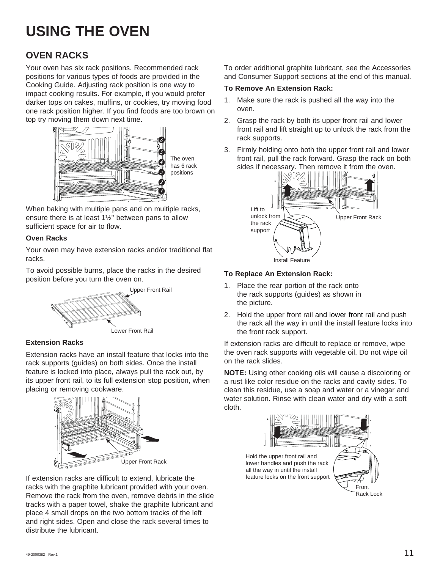## **OVEN RACKS**

Your oven has six rack positions. Recommended rack positions for various types of foods are provided in the Cooking Guide. Adjusting rack position is one way to impact cooking results. For example, if you would prefer darker tops on cakes, muffins, or cookies, try moving food one rack position higher. If you find foods are too brown on top try moving them down next time.



The oven has 6 rack positions

When baking with multiple pans and on multiple racks, ensure there is at least 1½" between pans to allow sufficient space for air to flow.

### **Oven Racks**

Your oven may have extension racks and/or traditional flat racks.

To avoid possible burns, place the racks in the desired position before you turn the oven on.



**Extension Racks**

Extension racks have an install feature that locks into the rack supports (guides) on both sides. Once the install feature is locked into place, always pull the rack out, by its upper front rail, to its full extension stop position, when placing or removing cookware.



If extension racks are difficult to extend, lubricate the racks with the graphite lubricant provided with your oven. Remove the rack from the oven, remove debris in the slide tracks with a paper towel, shake the graphite lubricant and place 4 small drops on the two bottom tracks of the left and right sides. Open and close the rack several times to distribute the lubricant.

To order additional graphite lubricant, see the Accessories and Consumer Support sections at the end of this manual.

## **To Remove An Extension Rack:**

- 1. Make sure the rack is pushed all the way into the oven.
- 2. Grasp the rack by both its upper front rail and lower front rail and lift straight up to unlock the rack from the rack supports.
- 3. Firmly holding onto both the upper front rail and lower front rail, pull the rack forward. Grasp the rack on both sides if necessary. Then remove it from the oven.



## **To Replace An Extension Rack:**

- 1. Place the rear portion of the rack onto the rack supports (guides) as shown in the picture.
- 2. Hold the upper front rail and lower front rail and push the rack all the way in until the install feature locks into the front rack support.

If extension racks are difficult to replace or remove, wipe the oven rack supports with vegetable oil. Do not wipe oil on the rack slides.

**NOTE:** Using other cooking oils will cause a discoloring or a rust like color residue on the racks and cavity sides. To clean this residue, use a soap and water or a vinegar and water solution. Rinse with clean water and dry with a soft cloth.



all the way in until the install feature locks on the front support

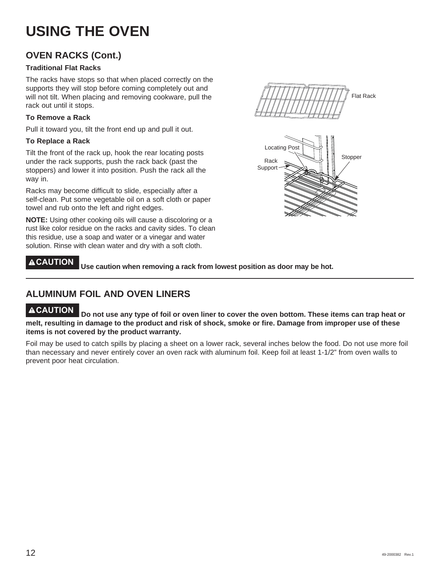## **OVEN RACKS (Cont.)**

## **Traditional Flat Racks**

The racks have stops so that when placed correctly on the supports they will stop before coming completely out and will not tilt. When placing and removing cookware, pull the rack out until it stops.

### **To Remove a Rack**

Pull it toward you, tilt the front end up and pull it out.

### **To Replace a Rack**

Tilt the front of the rack up, hook the rear locating posts under the rack supports, push the rack back (past the stoppers) and lower it into position. Push the rack all the way in.

Racks may become difficult to slide, especially after a self-clean. Put some vegetable oil on a soft cloth or paper towel and rub onto the left and right edges.

**NOTE:** Using other cooking oils will cause a discoloring or a rust like color residue on the racks and cavity sides. To clean this residue, use a soap and water or a vinegar and water solution. Rinse with clean water and dry with a soft cloth.

**CAUTION Use caution when removing a rack from lowest position as door may be hot.**

## **ALUMINUM FOIL AND OVEN LINERS**

**CAUTION Do not use any type of foil or oven liner to cover the oven bottom. These items can trap heat or melt, resulting in damage to the product and risk of shock, smoke or fire. Damage from improper use of these items is not covered by the product warranty.** 

Foil may be used to catch spills by placing a sheet on a lower rack, several inches below the food. Do not use more foil than necessary and never entirely cover an oven rack with aluminum foil. Keep foil at least 1-1/2" from oven walls to prevent poor heat circulation.



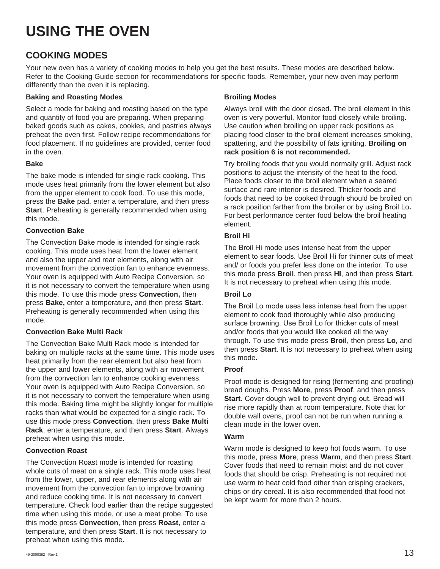## **COOKING MODES**

Your new oven has a variety of cooking modes to help you get the best results. These modes are described below. Refer to the Cooking Guide section for recommendations for specific foods. Remember, your new oven may perform differently than the oven it is replacing.

## **Baking and Roasting Modes**

Select a mode for baking and roasting based on the type and quantity of food you are preparing. When preparing baked goods such as cakes, cookies, and pastries always preheat the oven first. Follow recipe recommendations for food placement. If no guidelines are provided, center food in the oven.

## **Bake**

The bake mode is intended for single rack cooking. This mode uses heat primarily from the lower element but also from the upper element to cook food. To use this mode, press the **Bake** pad, enter a temperature, and then press **Start**. Preheating is generally recommended when using this mode.

## **Convection Bake**

The Convection Bake mode is intended for single rack cooking. This mode uses heat from the lower element and also the upper and rear elements, along with air movement from the convection fan to enhance evenness. Your oven is equipped with Auto Recipe Conversion, so it is not necessary to convert the temperature when using this mode. To use this mode press **Convection,** then press **Bake,** enter a temperature, and then press **Start**. Preheating is generally recommended when using this mode.

## **Convection Bake Multi Rack**

The Convection Bake Multi Rack mode is intended for baking on multiple racks at the same time. This mode uses heat primarily from the rear element but also heat from the upper and lower elements, along with air movement from the convection fan to enhance cooking evenness. Your oven is equipped with Auto Recipe Conversion, so it is not necessary to convert the temperature when using this mode. Baking time might be slightly longer for multiple racks than what would be expected for a single rack. To use this mode press **Convection**, then press **Bake Multi Rack**, enter a temperature, and then press **Start**. Always preheat when using this mode.

### **Convection Roast**

The Convection Roast mode is intended for roasting whole cuts of meat on a single rack. This mode uses heat from the lower, upper, and rear elements along with air movement from the convection fan to improve browning and reduce cooking time. It is not necessary to convert temperature. Check food earlier than the recipe suggested time when using this mode, or use a meat probe. To use this mode press **Convection**, then press **Roast**, enter a temperature, and then press **Start**. It is not necessary to preheat when using this mode.

## **Broiling Modes**

Always broil with the door closed. The broil element in this oven is very powerful. Monitor food closely while broiling. Use caution when broiling on upper rack positions as placing food closer to the broil element increases smoking, spattering, and the possibility of fats igniting. **Broiling on rack position 6 is not recommended.**

Try broiling foods that you would normally grill. Adjust rack positions to adjust the intensity of the heat to the food. Place foods closer to the broil element when a seared surface and rare interior is desired. Thicker foods and foods that need to be cooked through should be broiled on a rack position farther from the broiler or by using Broil Lo. For best performance center food below the broil heating element.

## **Broil Hi**

The Broil Hi mode uses intense heat from the upper element to sear foods. Use Broil Hi for thinner cuts of meat and/ or foods you prefer less done on the interior. To use this mode press **Broil**, then press **HI**, and then press **Start**. It is not necessary to preheat when using this mode.

## **Broil Lo**

The Broil Lo mode uses less intense heat from the upper element to cook food thoroughly while also producing surface browning. Use Broil Lo for thicker cuts of meat and/or foods that you would like cooked all the way through. To use this mode press **Broil**, then press **Lo**, and then press **Start**. It is not necessary to preheat when using this mode.

## **Proof**

Proof mode is designed for rising (fermenting and proofing) bread doughs. Press **More**, press **Proof**, and then press Start. Cover dough well to prevent drying out. Bread will rise more rapidly than at room temperature. Note that for double wall ovens, proof can not be run when running a clean mode in the lower oven.

### **Warm**

Warm mode is designed to keep hot foods warm. To use this mode, press **More**, press **Warm**, and then press **Start**. Cover foods that need to remain moist and do not cover foods that should be crisp. Preheating is not required not use warm to heat cold food other than crisping crackers, chips or dry cereal. It is also recommended that food not be kept warm for more than 2 hours.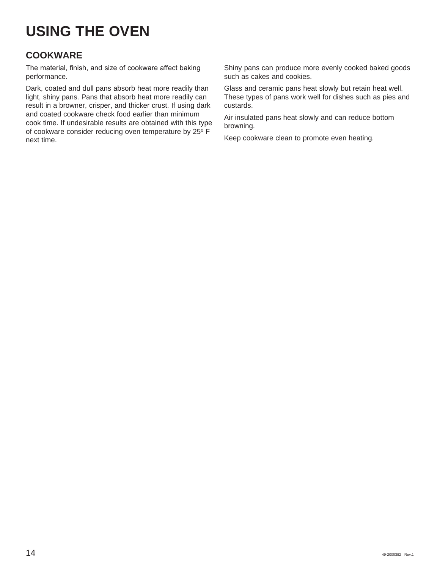## **COOKWARE**

The material, finish, and size of cookware affect baking performance.

Dark, coated and dull pans absorb heat more readily than light, shiny pans. Pans that absorb heat more readily can result in a browner, crisper, and thicker crust. If using dark and coated cookware check food earlier than minimum cook time. If undesirable results are obtained with this type of cookware consider reducing oven temperature by 25º F next time.

Shiny pans can produce more evenly cooked baked goods such as cakes and cookies.

Glass and ceramic pans heat slowly but retain heat well. These types of pans work well for dishes such as pies and custards.

Air insulated pans heat slowly and can reduce bottom browning.

Keep cookware clean to promote even heating.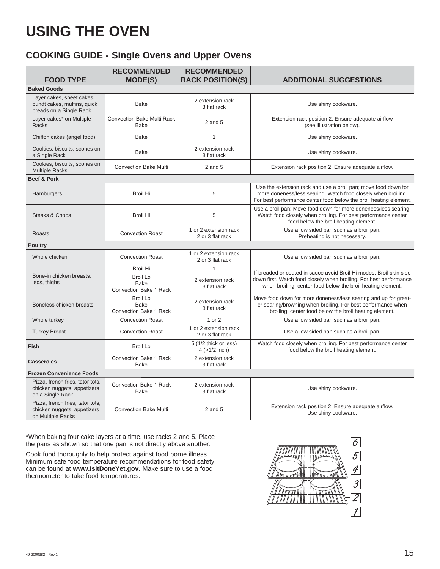## **COOKING GUIDE - Single Ovens and Upper Ovens**

| <b>FOOD TYPE</b>                                                                     | <b>RECOMMENDED</b><br><b>MODE(S)</b>                     | <b>RECOMMENDED</b><br><b>RACK POSITION(S)</b> | <b>ADDITIONAL SUGGESTIONS</b>                                                                                                                                                                        |
|--------------------------------------------------------------------------------------|----------------------------------------------------------|-----------------------------------------------|------------------------------------------------------------------------------------------------------------------------------------------------------------------------------------------------------|
| <b>Baked Goods</b>                                                                   |                                                          |                                               |                                                                                                                                                                                                      |
| Layer cakes, sheet cakes,<br>bundt cakes, muffins, quick<br>breads on a Single Rack  | <b>Bake</b>                                              | 2 extension rack<br>3 flat rack               | Use shiny cookware.                                                                                                                                                                                  |
| Layer cakes* on Multiple<br>Racks                                                    | <b>Convection Bake Multi Rack</b><br><b>Bake</b>         | $2$ and $5$                                   | Extension rack position 2. Ensure adequate airflow<br>(see illustration below).                                                                                                                      |
| Chiffon cakes (angel food)                                                           | <b>Bake</b>                                              | $\mathbf{1}$                                  | Use shiny cookware.                                                                                                                                                                                  |
| Cookies, biscuits, scones on<br>a Single Rack                                        | <b>Bake</b>                                              | 2 extension rack<br>3 flat rack               | Use shiny cookware.                                                                                                                                                                                  |
| Cookies, biscuits, scones on<br><b>Multiple Racks</b>                                | <b>Convection Bake Multi</b>                             | $2$ and $5$                                   | Extension rack position 2. Ensure adequate airflow.                                                                                                                                                  |
| <b>Beef &amp; Pork</b>                                                               |                                                          |                                               |                                                                                                                                                                                                      |
| Hamburgers                                                                           | <b>Broil Hi</b>                                          | 5                                             | Use the extension rack and use a broil pan; move food down for<br>more doneness/less searing. Watch food closely when broiling.<br>For best performance center food below the broil heating element. |
| Steaks & Chops                                                                       | <b>Broil Hi</b>                                          | 5                                             | Use a broil pan; Move food down for more doneness/less searing.<br>Watch food closely when broiling. For best performance center<br>food below the broil heating element.                            |
| <b>Roasts</b>                                                                        | <b>Convection Roast</b>                                  | 1 or 2 extension rack<br>2 or 3 flat rack     | Use a low sided pan such as a broil pan.<br>Preheating is not necessary.                                                                                                                             |
| <b>Poultry</b>                                                                       |                                                          |                                               |                                                                                                                                                                                                      |
| Whole chicken                                                                        | <b>Convection Roast</b>                                  | 1 or 2 extension rack<br>2 or 3 flat rack     | Use a low sided pan such as a broil pan.                                                                                                                                                             |
|                                                                                      | <b>Broil Hi</b>                                          | $\mathbf{1}$                                  | If breaded or coated in sauce avoid Broil Hi modes. Broil skin side                                                                                                                                  |
| Bone-in chicken breasts.<br>legs, thighs                                             | <b>Broil Lo</b><br>Bake<br><b>Convection Bake 1 Rack</b> | 2 extension rack<br>3 flat rack               | down first. Watch food closely when broiling. For best performance<br>when broiling, center food below the broil heating element.                                                                    |
| Boneless chicken breasts                                                             | <b>Broil Lo</b><br>Bake<br><b>Convection Bake 1 Rack</b> | 2 extension rack<br>3 flat rack               | Move food down for more doneness/less searing and up for great-<br>er searing/browning when broiling. For best performance when<br>broiling, center food below the broil heating element.            |
| Whole turkey                                                                         | <b>Convection Roast</b>                                  | 1 or 2                                        | Use a low sided pan such as a broil pan.                                                                                                                                                             |
| <b>Turkey Breast</b>                                                                 | <b>Convection Roast</b>                                  | 1 or 2 extension rack<br>2 or 3 flat rack     | Use a low sided pan such as a broil pan.                                                                                                                                                             |
| <b>Fish</b>                                                                          | <b>Broil Lo</b>                                          | 5 (1/2 thick or less)<br>$4$ ( $>1/2$ inch)   | Watch food closely when broiling. For best performance center<br>food below the broil heating element.                                                                                               |
| <b>Casseroles</b>                                                                    | <b>Convection Bake 1 Rack</b><br><b>Bake</b>             | 2 extension rack<br>3 flat rack               |                                                                                                                                                                                                      |
| <b>Frozen Convenience Foods</b>                                                      |                                                          |                                               |                                                                                                                                                                                                      |
| Pizza, french fries, tator tots,<br>chicken nuggets, appetizers<br>on a Single Rack  | <b>Convection Bake 1 Rack</b><br><b>Bake</b>             | 2 extension rack<br>3 flat rack               | Use shiny cookware.                                                                                                                                                                                  |
| Pizza, french fries, tator tots,<br>chicken nuggets, appetizers<br>on Multiple Racks | <b>Convection Bake Multi</b>                             | $2$ and $5$                                   | Extension rack position 2. Ensure adequate airflow.<br>Use shiny cookware.                                                                                                                           |

\*When baking four cake layers at a time, use racks 2 and 5. Place the pans as shown so that one pan is not directly above another.

Cook food thoroughly to help protect against food borne illness. Minimum safe food temperature recommendations for food safety can be found at **www.IsItDoneYet.gov**. Make sure to use a food thermometer to take food temperatures.

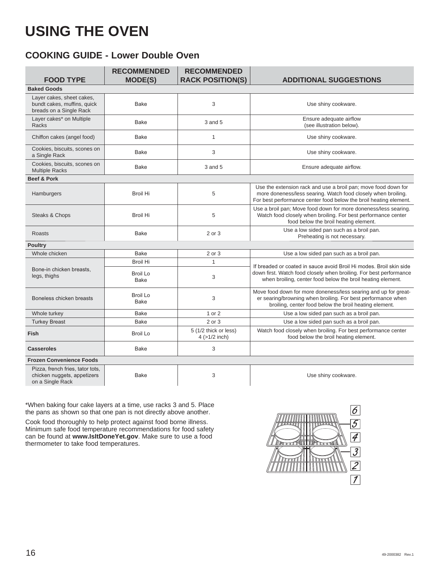## **COOKING GUIDE - Lower Double Oven**

|                                                                                     | <b>RECOMMENDED</b>             | <b>RECOMMENDED</b>                          |                                                                                                                                                                                                      |
|-------------------------------------------------------------------------------------|--------------------------------|---------------------------------------------|------------------------------------------------------------------------------------------------------------------------------------------------------------------------------------------------------|
| <b>FOOD TYPE</b>                                                                    | <b>MODE(S)</b>                 | <b>RACK POSITION(S)</b>                     | <b>ADDITIONAL SUGGESTIONS</b>                                                                                                                                                                        |
| <b>Baked Goods</b>                                                                  |                                |                                             |                                                                                                                                                                                                      |
| Layer cakes, sheet cakes,<br>bundt cakes, muffins, quick<br>breads on a Single Rack | <b>Bake</b>                    | 3                                           | Use shiny cookware.                                                                                                                                                                                  |
| Layer cakes* on Multiple<br>Racks                                                   | <b>Bake</b>                    | 3 and 5                                     | Ensure adequate airflow<br>(see illustration below).                                                                                                                                                 |
| Chiffon cakes (angel food)                                                          | <b>Bake</b>                    | $\mathbf{1}$                                | Use shiny cookware.                                                                                                                                                                                  |
| Cookies, biscuits, scones on<br>a Single Rack                                       | Bake                           | 3                                           | Use shiny cookware.                                                                                                                                                                                  |
| Cookies, biscuits, scones on<br><b>Multiple Racks</b>                               | <b>Bake</b>                    | 3 and 5                                     | Ensure adequate airflow.                                                                                                                                                                             |
| <b>Beef &amp; Pork</b>                                                              |                                |                                             |                                                                                                                                                                                                      |
| Hamburgers                                                                          | Broil Hi                       | 5                                           | Use the extension rack and use a broil pan; move food down for<br>more doneness/less searing. Watch food closely when broiling.<br>For best performance center food below the broil heating element. |
| Steaks & Chops                                                                      | Broil Hi                       | 5                                           | Use a broil pan; Move food down for more doneness/less searing.<br>Watch food closely when broiling. For best performance center<br>food below the broil heating element.                            |
| Roasts                                                                              | <b>Bake</b>                    | 2 or 3                                      | Use a low sided pan such as a broil pan.<br>Preheating is not necessary.                                                                                                                             |
| <b>Poultry</b>                                                                      |                                |                                             |                                                                                                                                                                                                      |
| Whole chicken                                                                       | <b>Bake</b>                    | 2 or 3                                      | Use a low sided pan such as a broil pan.                                                                                                                                                             |
|                                                                                     | <b>Broil Hi</b>                | 1                                           | If breaded or coated in sauce avoid Broil Hi modes. Broil skin side                                                                                                                                  |
| Bone-in chicken breasts,<br>legs, thighs                                            | <b>Broil Lo</b><br>Bake        | 3                                           | down first. Watch food closely when broiling. For best performance<br>when broiling, center food below the broil heating element.                                                                    |
| Boneless chicken breasts                                                            | <b>Broil Lo</b><br><b>Bake</b> | 3                                           | Move food down for more doneness/less searing and up for great-<br>er searing/browning when broiling. For best performance when<br>broiling, center food below the broil heating element.            |
| Whole turkey                                                                        | <b>Bake</b>                    | 1 or 2                                      | Use a low sided pan such as a broil pan.                                                                                                                                                             |
| <b>Turkey Breast</b>                                                                | <b>Bake</b>                    | 2 or 3                                      | Use a low sided pan such as a broil pan.                                                                                                                                                             |
| <b>Fish</b>                                                                         | <b>Broil Lo</b>                | 5 (1/2 thick or less)<br>$4$ ( $>1/2$ inch) | Watch food closely when broiling. For best performance center<br>food below the broil heating element.                                                                                               |
| <b>Casseroles</b>                                                                   | <b>Bake</b>                    | 3                                           |                                                                                                                                                                                                      |
| <b>Frozen Convenience Foods</b>                                                     |                                |                                             |                                                                                                                                                                                                      |
| Pizza, french fries, tator tots,<br>chicken nuggets, appetizers<br>on a Single Rack | <b>Bake</b>                    | 3                                           | Use shiny cookware.                                                                                                                                                                                  |

\*When baking four cake layers at a time, use racks 3 and 5. Place the pans as shown so that one pan is not directly above another.

Cook food thoroughly to help protect against food borne illness. Minimum safe food temperature recommendations for food safety can be found at **www.IsItDoneYet.gov**. Make sure to use a food thermometer to take food temperatures.

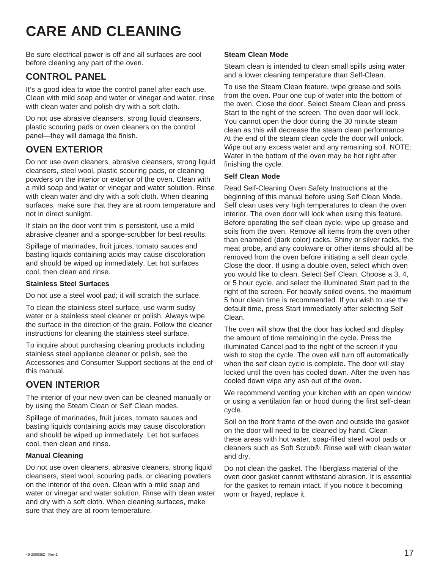## **CARE AND CLEANING**

Be sure electrical power is off and all surfaces are cool before cleaning any part of the oven.

## **CONTROL PANEL**

It's a good idea to wipe the control panel after each use. Clean with mild soap and water or vinegar and water, rinse with clean water and polish dry with a soft cloth.

Do not use abrasive cleansers, strong liquid cleansers, plastic scouring pads or oven cleaners on the control panel-they will damage the finish.

## **OVEN EXTERIOR**

Do not use oven cleaners, abrasive cleansers, strong liquid cleansers, steel wool, plastic scouring pads, or cleaning powders on the interior or exterior of the oven. Clean with a mild soap and water or vinegar and water solution. Rinse with clean water and dry with a soft cloth. When cleaning surfaces, make sure that they are at room temperature and not in direct sunlight.

If stain on the door vent trim is persistent, use a mild abrasive cleaner and a sponge-scrubber for best results.

Spillage of marinades, fruit juices, tomato sauces and basting liquids containing acids may cause discoloration and should be wiped up immediately. Let hot surfaces cool, then clean and rinse.

### **Stainless Steel Surfaces**

Do not use a steel wool pad; it will scratch the surface.

To clean the stainless steel surface, use warm sudsy water or a stainless steel cleaner or polish. Always wipe the surface in the direction of the grain. Follow the cleaner instructions for cleaning the stainless steel surface.

To inquire about purchasing cleaning products including stainless steel appliance cleaner or polish, see the Accessories and Consumer Support sections at the end of this manual.

## **OVEN INTERIOR**

The interior of your new oven can be cleaned manually or by using the Steam Clean or Self Clean modes.

Spillage of marinades, fruit juices, tomato sauces and basting liquids containing acids may cause discoloration and should be wiped up immediately. Let hot surfaces cool, then clean and rinse.

### **Manual Cleaning**

Do not use oven cleaners, abrasive cleaners, strong liquid cleansers, steel wool, scouring pads, or cleaning powders on the interior of the oven. Clean with a mild soap and water or vinegar and water solution. Rinse with clean water and dry with a soft cloth. When cleaning surfaces, make sure that they are at room temperature.

### **Steam Clean Mode**

Steam clean is intended to clean small spills using water and a lower cleaning temperature than Self-Clean.

To use the Steam Clean feature, wipe grease and soils from the oven. Pour one cup of water into the bottom of the oven. Close the door. Select Steam Clean and press Start to the right of the screen. The oven door will lock. You cannot open the door during the 30 minute steam clean as this will decrease the steam clean performance. At the end of the steam clean cycle the door will unlock. Wipe out any excess water and any remaining soil. NOTE: Water in the bottom of the oven may be hot right after finishing the cycle.

### **Self Clean Mode**

Read Self-Cleaning Oven Safety Instructions at the beginning of this manual before using Self Clean Mode. Self clean uses very high temperatures to clean the oven interior. The oven door will lock when using this feature. Before operating the self clean cycle, wipe up grease and soils from the oven. Remove all items from the oven other than enameled (dark color) racks. Shiny or silver racks, the meat probe, and any cookware or other items should all be removed from the oven before initiating a self clean cycle. Close the door. If using a double oven, select which oven you would like to clean. Select Self Clean. Choose a 3, 4, or 5 hour cycle, and select the illuminated Start pad to the right of the screen. For heavily soiled ovens, the maximum 5 hour clean time is recommended. If you wish to use the default time, press Start immediately after selecting Self Clean.

The oven will show that the door has locked and display the amount of time remaining in the cycle. Press the illuminated Cancel pad to the right of the screen if you wish to stop the cycle. The oven will turn off automatically when the self clean cycle is complete. The door will stay locked until the oven has cooled down. After the oven has cooled down wipe any ash out of the oven.

We recommend venting your kitchen with an open window or using a ventilation fan or hood during the first self-clean cycle.

Soil on the front frame of the oven and outside the gasket on the door will need to be cleaned by hand. Clean these areas with hot water, soap-filled steel wool pads or cleaners such as Soft Scrub®. Rinse well with clean water and dry.

Do not clean the gasket. The fiberglass material of the oven door gasket cannot withstand abrasion. It is essential for the gasket to remain intact. If you notice it becoming worn or frayed, replace it.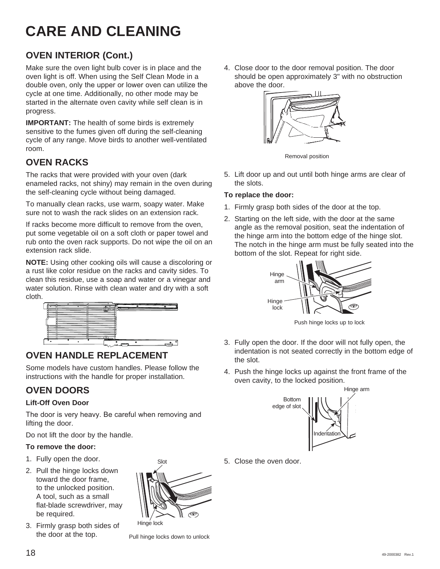## **CARE AND CLEANING**

## **OVEN INTERIOR (Cont.)**

Make sure the oven light bulb cover is in place and the oven light is off. When using the Self Clean Mode in a double oven, only the upper or lower oven can utilize the cycle at one time. Additionally, no other mode may be started in the alternate oven cavity while self clean is in progress.

**IMPORTANT:** The health of some birds is extremely sensitive to the fumes given off during the self-cleaning cycle of any range. Move birds to another well-ventilated room.

## **OVEN RACKS**

The racks that were provided with your oven (dark enameled racks, not shiny) may remain in the oven during the self-cleaning cycle without being damaged.

To manually clean racks, use warm, soapy water. Make sure not to wash the rack slides on an extension rack.

If racks become more difficult to remove from the oven, put some vegetable oil on a soft cloth or paper towel and rub onto the oven rack supports. Do not wipe the oil on an extension rack slide.

**NOTE:** Using other cooking oils will cause a discoloring or a rust like color residue on the racks and cavity sides. To clean this residue, use a soap and water or a vinegar and water solution. Rinse with clean water and dry with a soft cloth.



## **OVEN HANDLE REPLACEMENT**

Some models have custom handles. Please follow the instructions with the handle for proper installation.

## **OVEN DOORS**

## **Lift-Off Oven Door**

The door is very heavy. Be careful when removing and lifting the door.

Do not lift the door by the handle.

## **To remove the door:**

- 1. Fully open the door.
- 2. Pull the hinge locks down toward the door frame, to the unlocked position. A tool, such as a small flat-blade screwdriver, may be required.
- 3. Firmly grasp both sides of the door at the top.



Hinge lock

Pull hinge locks down to unlock

4. Close door to the door removal position. The door should be open approximately 3" with no obstruction above the door.



Removal position

5. Lift door up and out until both hinge arms are clear of the slots.

### **To replace the door:**

- 1. Firmly grasp both sides of the door at the top.
- 2. Starting on the left side, with the door at the same angle as the removal position, seat the indentation of the hinge arm into the bottom edge of the hinge slot. The notch in the hinge arm must be fully seated into the bottom of the slot. Repeat for right side.



Push hinge locks up to lock

- 3. Fully open the door. If the door will not fully open, the indentation is not seated correctly in the bottom edge of the slot.
- 4. Push the hinge locks up against the front frame of the oven cavity, to the locked position.



5. Close the oven door.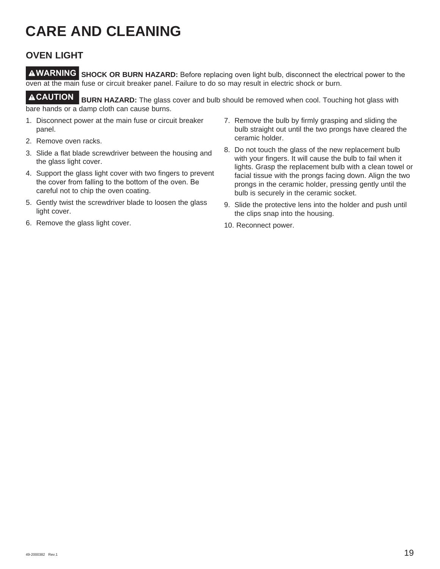## **CARE AND CLEANING**

## **OVEN LIGHT**

**AWARNING** SHOCK OR BURN HAZARD: Before replacing oven light bulb, disconnect the electrical power to the oven at the main fuse or circuit breaker panel. Failure to do so may result in electric shock or burn.

**CAUTION BURN HAZARD:** The glass cover and bulb should be removed when cool. Touching hot glass with bare hands or a damp cloth can cause burns.

- 1. Disconnect power at the main fuse or circuit breaker panel.
- 2. Remove oven racks.
- 3. Slide a flat blade screwdriver between the housing and the glass light cover.
- 4. Support the glass light cover with two fingers to prevent the cover from falling to the bottom of the oven. Be careful not to chip the oven coating.
- 5. Gently twist the screwdriver blade to loosen the glass light cover.
- 6. Remove the glass light cover.
- 7. Remove the bulb by firmly grasping and sliding the bulb straight out until the two prongs have cleared the ceramic holder.
- 8. Do not touch the glass of the new replacement bulb with your fingers. It will cause the bulb to fail when it lights. Grasp the replacement bulb with a clean towel or facial tissue with the prongs facing down. Align the two prongs in the ceramic holder, pressing gently until the bulb is securely in the ceramic socket.
- 9. Slide the protective lens into the holder and push until the clips snap into the housing.
- 10. Reconnect power.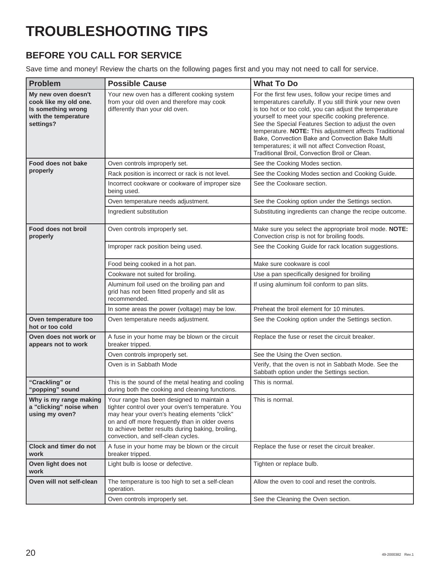## **TROUBLESHOOTING TIPS**

## **BEFORE YOU CALL FOR SERVICE**

Save time and money! Review the charts on the following pages first and you may not need to call for service.

| <b>Problem</b>                                                                                          | <b>Possible Cause</b>                                                                                                                                                                                                                                                                          | <b>What To Do</b>                                                                                                                                                                                                                                                                                                                                                                                                                                                                                           |
|---------------------------------------------------------------------------------------------------------|------------------------------------------------------------------------------------------------------------------------------------------------------------------------------------------------------------------------------------------------------------------------------------------------|-------------------------------------------------------------------------------------------------------------------------------------------------------------------------------------------------------------------------------------------------------------------------------------------------------------------------------------------------------------------------------------------------------------------------------------------------------------------------------------------------------------|
| My new oven doesn't<br>cook like my old one.<br>Is something wrong<br>with the temperature<br>settings? | Your new oven has a different cooking system<br>from your old oven and therefore may cook<br>differently than your old oven.                                                                                                                                                                   | For the first few uses, follow your recipe times and<br>temperatures carefully. If you still think your new oven<br>is too hot or too cold, you can adjust the temperature<br>yourself to meet your specific cooking preference.<br>See the Special Features Section to adjust the oven<br>temperature. NOTE: This adjustment affects Traditional<br>Bake, Convection Bake and Convection Bake Multi<br>temperatures; it will not affect Convection Roast,<br>Traditional Broil, Convection Broil or Clean. |
| Food does not bake                                                                                      | Oven controls improperly set.                                                                                                                                                                                                                                                                  | See the Cooking Modes section.                                                                                                                                                                                                                                                                                                                                                                                                                                                                              |
| properly                                                                                                | Rack position is incorrect or rack is not level.                                                                                                                                                                                                                                               | See the Cooking Modes section and Cooking Guide.                                                                                                                                                                                                                                                                                                                                                                                                                                                            |
|                                                                                                         | Incorrect cookware or cookware of improper size<br>being used.                                                                                                                                                                                                                                 | See the Cookware section.                                                                                                                                                                                                                                                                                                                                                                                                                                                                                   |
|                                                                                                         | Oven temperature needs adjustment.                                                                                                                                                                                                                                                             | See the Cooking option under the Settings section.                                                                                                                                                                                                                                                                                                                                                                                                                                                          |
|                                                                                                         | Ingredient substitution                                                                                                                                                                                                                                                                        | Substituting ingredients can change the recipe outcome.                                                                                                                                                                                                                                                                                                                                                                                                                                                     |
| Food does not broil<br>properly                                                                         | Oven controls improperly set.                                                                                                                                                                                                                                                                  | Make sure you select the appropriate broil mode. NOTE:<br>Convection crisp is not for broiling foods.                                                                                                                                                                                                                                                                                                                                                                                                       |
|                                                                                                         | Improper rack position being used.                                                                                                                                                                                                                                                             | See the Cooking Guide for rack location suggestions.                                                                                                                                                                                                                                                                                                                                                                                                                                                        |
|                                                                                                         | Food being cooked in a hot pan.                                                                                                                                                                                                                                                                | Make sure cookware is cool                                                                                                                                                                                                                                                                                                                                                                                                                                                                                  |
|                                                                                                         | Cookware not suited for broiling.                                                                                                                                                                                                                                                              | Use a pan specifically designed for broiling                                                                                                                                                                                                                                                                                                                                                                                                                                                                |
|                                                                                                         | Aluminum foil used on the broiling pan and<br>grid has not been fitted properly and slit as<br>recommended.                                                                                                                                                                                    | If using aluminum foil conform to pan slits.                                                                                                                                                                                                                                                                                                                                                                                                                                                                |
|                                                                                                         | In some areas the power (voltage) may be low.                                                                                                                                                                                                                                                  | Preheat the broil element for 10 minutes.                                                                                                                                                                                                                                                                                                                                                                                                                                                                   |
| Oven temperature too<br>hot or too cold                                                                 | Oven temperature needs adjustment.                                                                                                                                                                                                                                                             | See the Cooking option under the Settings section.                                                                                                                                                                                                                                                                                                                                                                                                                                                          |
| Oven does not work or<br>appears not to work                                                            | A fuse in your home may be blown or the circuit<br>breaker tripped.                                                                                                                                                                                                                            | Replace the fuse or reset the circuit breaker.                                                                                                                                                                                                                                                                                                                                                                                                                                                              |
|                                                                                                         | Oven controls improperly set.                                                                                                                                                                                                                                                                  | See the Using the Oven section.                                                                                                                                                                                                                                                                                                                                                                                                                                                                             |
|                                                                                                         | Oven is in Sabbath Mode                                                                                                                                                                                                                                                                        | Verify, that the oven is not in Sabbath Mode. See the<br>Sabbath option under the Settings section.                                                                                                                                                                                                                                                                                                                                                                                                         |
| "Crackling" or<br>"popping" sound                                                                       | This is the sound of the metal heating and cooling<br>during both the cooking and cleaning functions.                                                                                                                                                                                          | This is normal.                                                                                                                                                                                                                                                                                                                                                                                                                                                                                             |
| Why is my range making<br>a "clicking" noise when<br>using my oven?                                     | Your range has been designed to maintain a<br>tighter control over your oven's temperature. You<br>may hear your oven's heating elements "click"<br>on and off more frequently than in older ovens<br>to achieve better results during baking, broiling,<br>convection, and self-clean cycles. | This is normal.                                                                                                                                                                                                                                                                                                                                                                                                                                                                                             |
| <b>Clock and timer do not</b><br>work                                                                   | A fuse in your home may be blown or the circuit<br>breaker tripped.                                                                                                                                                                                                                            | Replace the fuse or reset the circuit breaker.                                                                                                                                                                                                                                                                                                                                                                                                                                                              |
| Oven light does not<br>work                                                                             | Light bulb is loose or defective.                                                                                                                                                                                                                                                              | Tighten or replace bulb.                                                                                                                                                                                                                                                                                                                                                                                                                                                                                    |
| Oven will not self-clean                                                                                | The temperature is too high to set a self-clean<br>operation.                                                                                                                                                                                                                                  | Allow the oven to cool and reset the controls.                                                                                                                                                                                                                                                                                                                                                                                                                                                              |
|                                                                                                         | Oven controls improperly set.                                                                                                                                                                                                                                                                  | See the Cleaning the Oven section.                                                                                                                                                                                                                                                                                                                                                                                                                                                                          |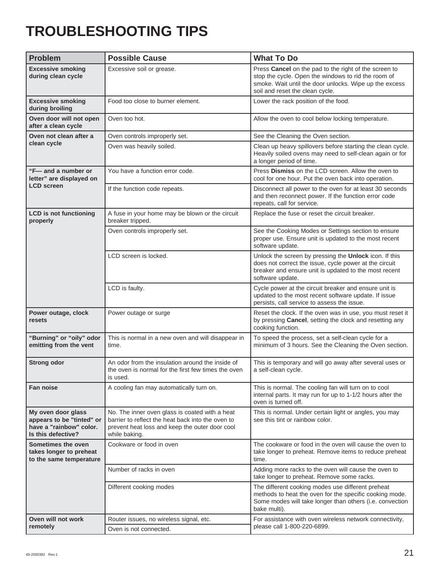## **TROUBLESHOOTING TIPS**

| <b>Problem</b>                                                                                   | <b>Possible Cause</b>                                                                                                                                                  | <b>What To Do</b>                                                                                                                                                                                         |
|--------------------------------------------------------------------------------------------------|------------------------------------------------------------------------------------------------------------------------------------------------------------------------|-----------------------------------------------------------------------------------------------------------------------------------------------------------------------------------------------------------|
| <b>Excessive smoking</b><br>during clean cycle                                                   | Excessive soil or grease.                                                                                                                                              | Press Cancel on the pad to the right of the screen to<br>stop the cycle. Open the windows to rid the room of<br>smoke. Wait until the door unlocks. Wipe up the excess<br>soil and reset the clean cycle. |
| <b>Excessive smoking</b><br>during broiling                                                      | Food too close to burner element.                                                                                                                                      | Lower the rack position of the food.                                                                                                                                                                      |
| Oven door will not open<br>after a clean cycle                                                   | Oven too hot.                                                                                                                                                          | Allow the oven to cool below locking temperature.                                                                                                                                                         |
| Oven not clean after a                                                                           | Oven controls improperly set.                                                                                                                                          | See the Cleaning the Oven section.                                                                                                                                                                        |
| clean cycle                                                                                      | Oven was heavily soiled.                                                                                                                                               | Clean up heavy spillovers before starting the clean cycle.<br>Heavily soiled ovens may need to self-clean again or for<br>a longer period of time.                                                        |
| "F-and a number or<br>letter" are displayed on                                                   | You have a function error code.                                                                                                                                        | Press Dismiss on the LCD screen. Allow the oven to<br>cool for one hour. Put the oven back into operation.                                                                                                |
| <b>LCD screen</b>                                                                                | If the function code repeats.                                                                                                                                          | Disconnect all power to the oven for at least 30 seconds<br>and then reconnect power. If the function error code<br>repeats, call for service.                                                            |
| <b>LCD</b> is not functioning<br>properly                                                        | A fuse in your home may be blown or the circuit<br>breaker tripped.                                                                                                    | Replace the fuse or reset the circuit breaker.                                                                                                                                                            |
|                                                                                                  | Oven controls improperly set.                                                                                                                                          | See the Cooking Modes or Settings section to ensure<br>proper use. Ensure unit is updated to the most recent<br>software update.                                                                          |
|                                                                                                  | LCD screen is locked.                                                                                                                                                  | Unlock the screen by pressing the Unlock icon. If this<br>does not correct the issue, cycle power at the circuit<br>breaker and ensure unit is updated to the most recent<br>software update.             |
|                                                                                                  | LCD is faulty.                                                                                                                                                         | Cycle power at the circuit breaker and ensure unit is<br>updated to the most recent software update. If issue<br>persists, call service to assess the issue.                                              |
| Power outage, clock<br>resets                                                                    | Power outage or surge                                                                                                                                                  | Reset the clock. If the oven was in use, you must reset it<br>by pressing Cancel, setting the clock and resetting any<br>cooking function.                                                                |
| "Burning" or "oily" odor<br>emitting from the vent                                               | This is normal in a new oven and will disappear in<br>time.                                                                                                            | To speed the process, set a self-clean cycle for a<br>minimum of 3 hours. See the Cleaning the Oven section.                                                                                              |
| <b>Strong odor</b>                                                                               | An odor from the insulation around the inside of<br>the oven is normal for the first few times the oven<br>is used.                                                    | This is temporary and will go away after several uses or<br>a self-clean cycle.                                                                                                                           |
| Fan noise                                                                                        | A cooling fan may automatically turn on.                                                                                                                               | This is normal. The cooling fan will turn on to cool<br>internal parts. It may run for up to 1-1/2 hours after the<br>oven is turned off.                                                                 |
| My oven door glass<br>appears to be "tinted" or<br>have a "rainbow" color.<br>Is this defective? | No. The inner oven glass is coated with a heat<br>barrier to reflect the heat back into the oven to<br>prevent heat loss and keep the outer door cool<br>while baking. | This is normal. Under certain light or angles, you may<br>see this tint or rainbow color.                                                                                                                 |
| Sometimes the oven<br>takes longer to preheat<br>to the same temperature                         | Cookware or food in oven                                                                                                                                               | The cookware or food in the oven will cause the oven to<br>take longer to preheat. Remove items to reduce preheat<br>time.                                                                                |
|                                                                                                  | Number of racks in oven                                                                                                                                                | Adding more racks to the oven will cause the oven to<br>take longer to preheat. Remove some racks.                                                                                                        |
|                                                                                                  | Different cooking modes                                                                                                                                                | The different cooking modes use different preheat<br>methods to heat the oven for the specific cooking mode.<br>Some modes will take longer than others (i.e. convection<br>bake multi).                  |
| Oven will not work                                                                               | Router issues, no wireless signal, etc.                                                                                                                                | For assistance with oven wireless network connectivity,                                                                                                                                                   |
| remotely<br>Oven is not connected.                                                               |                                                                                                                                                                        | please call 1-800-220-6899.                                                                                                                                                                               |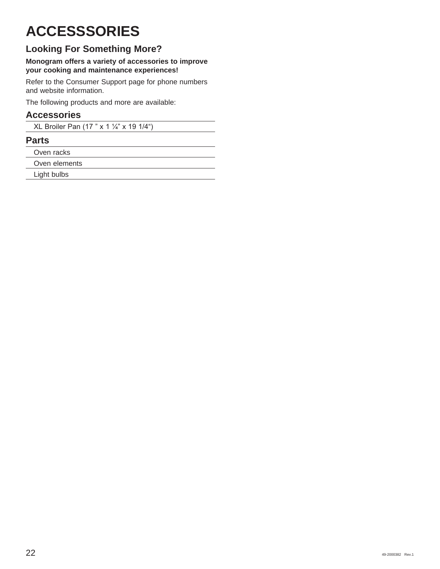## **ACCESSSORIES**

## **Looking For Something More?**

### **Monogram offers a variety of accessories to improve your cooking and maintenance experiences!**

Refer to the Consumer Support page for phone numbers and website information.

The following products and more are available:

## **Accessories**

XL Broiler Pan (17 " x 1 1/4" x 19 1/4")

## **Parts**

Oven racks

Oven elements

Light bulbs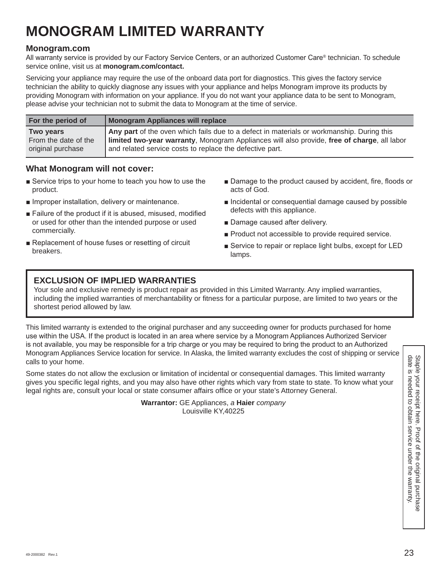## **MONOGRAM LIMITED WARRANTY**

## **Monogram.com**

All warranty service is provided by our Factory Service Centers, or an authorized Customer Care® technician. To schedule service online, visit us at **monogram.com/contact.** 

Servicing your appliance may require the use of the onboard data port for diagnostics. This gives the factory service technician the ability to quickly diagnose any issues with your appliance and helps Monogram improve its products by providing Monogram with information on your appliance. If you do not want your appliance data to be sent to Monogram, please advise your technician not to submit the data to Monogram at the time of service.

| For the period of    | Monogram Appliances will replace                                                            |
|----------------------|---------------------------------------------------------------------------------------------|
| <b>Two years</b>     | Any part of the oven which fails due to a defect in materials or workmanship. During this   |
| From the date of the | limited two-year warranty, Monogram Appliances will also provide, free of charge, all labor |
| original purchase    | and related service costs to replace the defective part.                                    |

## **What Monogram will not cover:**

- $\blacksquare$  Service trips to your home to teach you how to use the product.
- $\blacksquare$  Improper installation, delivery or maintenance.
- E Failure of the product if it is abused, misused, modified or used for other than the intended purpose or used commercially.
- Replacement of house fuses or resetting of circuit breakers.
- Damage to the product caused by accident, fire, floods or acts of God.
- **n** Incidental or consequential damage caused by possible defects with this appliance.
- Damage caused after delivery.
- **Product not accessible to provide required service.**
- Service to repair or replace light bulbs, except for LED lamps.

## **EXCLUSION OF IMPLIED WARRANTIES**

Your sole and exclusive remedy is product repair as provided in this Limited Warranty. Any implied warranties, including the implied warranties of merchantability or fitness for a particular purpose, are limited to two years or the shortest period allowed by law.

This limited warranty is extended to the original purchaser and any succeeding owner for products purchased for home use within the USA. If the product is located in an area where service by a Monogram Appliances Authorized Servicer is not available, you may be responsible for a trip charge or you may be required to bring the product to an Authorized Monogram Appliances Service location for service. In Alaska, the limited warranty excludes the cost of shipping or service calls to your home.

A a conserved to the model of the sectus of interval of incidental or consequential damages. This limited warranty<br>
Some states on ot allow the exclusion or limitation of incidental or consequential damages. This limited w Some states do not allow the exclusion or limitation of incidental or consequential damages. This limited warranty gives you specific legal rights, and you may also have other rights which vary from state to state. To know what your legal rights are, consult your local or state consumer affairs office or your state's Attorney General.

**Warrantor:** GE Appliances, *a* **Haier** *company* Louisville KY,40225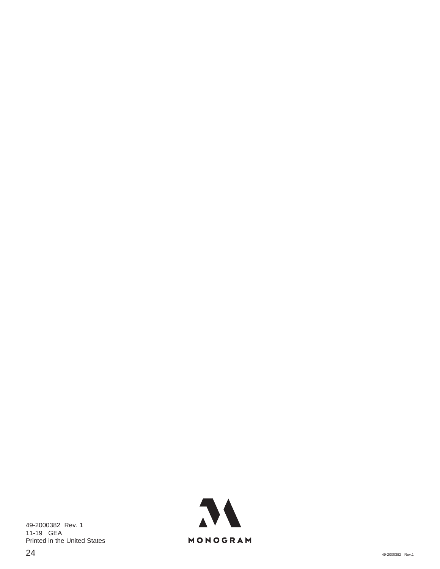49-2000382 Rev. 1 11-19 GEA Printed in the United States

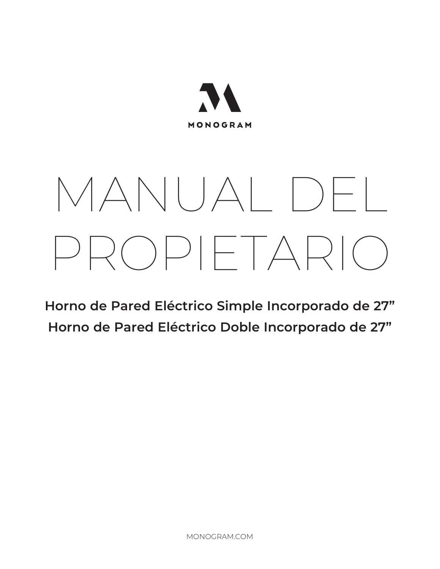

# MANUAL DEL PROPIETARIO

**Horno de Pared Eléctrico Simple Incorporado de 27" Horno de Pared Eléctrico Doble Incorporado de 27"**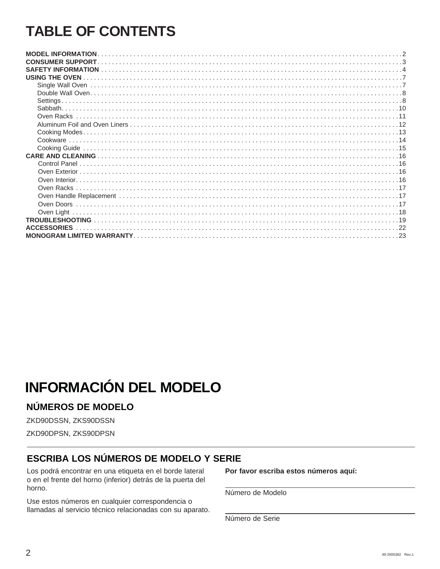## **TABLE OF CONTENTS**

| USING THE OVEN     |
|--------------------|
|                    |
|                    |
| <b>Settings</b>    |
|                    |
|                    |
|                    |
|                    |
|                    |
|                    |
|                    |
|                    |
|                    |
|                    |
|                    |
|                    |
|                    |
| Oven Light         |
|                    |
| <b>ACCESSORIES</b> |
|                    |

## **INFORMACIÓN DEL MODELO**

## NÚMEROS DE MODELO

ZKD90DSSN, ZKS90DSSN

ZKD90DPSN, ZKS90DPSN

## **ESCRIBA LOS NÚMEROS DE MODELO Y SERIE**

Los podrá encontrar en una etiqueta en el borde lateral o en el frente del horno (inferior) detrás de la puerta del horno.

Use estos números en cualquier correspondencia o llamadas al servicio técnico relacionadas con su aparato. Por favor escriba estos números aquí:

Número de Modelo

Número de Serie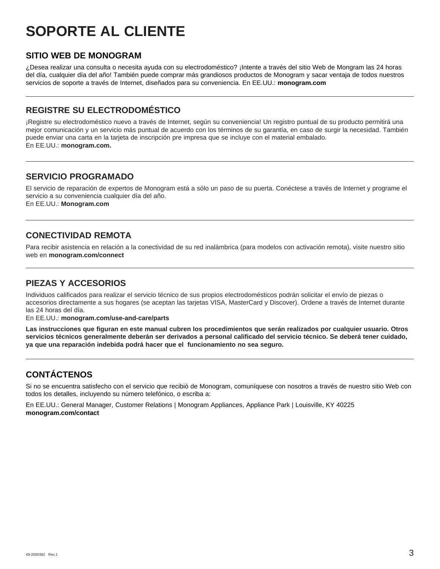## **SOPORTE AL CLIENTE**

## **SITIO WEB DE MONOGRAM**

¿Desea realizar una consulta o necesita ayuda con su electrodoméstico? ¡Intente a través del sitio Web de Mongram las 24 horas del día, cualquier día del año! También puede comprar más grandiosos productos de Monogram y sacar ventaja de todos nuestros servicios de soporte a través de Internet, diseñados para su conveniencia. En EE.UU.: **monogram.com**

## **REGISTRE SU ELECTRODOMÉSTICO**

¡Registre su electrodoméstico nuevo a través de Internet, según su conveniencia! Un registro puntual de su producto permitirá una mejor comunicación y un servicio más puntual de acuerdo con los términos de su garantía, en caso de surgir la necesidad. También puede enviar una carta en la tarjeta de inscripción pre impresa que se incluye con el material embalado. En EE.UU.: **monogram.com.** 

## **SERVICIO PROGRAMADO**

El servicio de reparación de expertos de Monogram está a sólo un paso de su puerta. Conéctese a través de Internet y programe el servicio a su conveniencia cualquier día del año. En EE.UU.: **Monogram.com**

## **CONECTIVIDAD REMOTA**

Para recibir asistencia en relación a la conectividad de su red inalámbrica (para modelos con activación remota), visite nuestro sitio web en **monogram.com/connect**

## **PIEZAS Y ACCESORIOS**

Individuos calificados para realizar el servicio técnico de sus propios electrodomésticos podrán solicitar el envío de piezas o accesorios directamente a sus hogares (se aceptan las tarjetas VISA, MasterCard y Discover). Ordene a través de Internet durante las 24 horas del día.

En EE.UU.: **monogram.com/use-and-care/parts**

**Las instrucciones que figuran en este manual cubren los procedimientos que serán realizados por cualquier usuario. Otros servicios técnicos generalmente deberán ser derivados a personal calificado del servicio técnico. Se deberá tener cuidado, ya que una reparación indebida podrá hacer que el funcionamiento no sea seguro.**

## **CONTÁCTENOS**

Si no se encuentra satisfecho con el servicio que recibió de Monogram, comuníquese con nosotros a través de nuestro sitio Web con todos los detalles, incluyendo su número telefónico, o escriba a:

En EE.UU.: General Manager, Customer Relations | Monogram Appliances, Appliance Park | Louisville, KY 40225 **monogram.com/contact**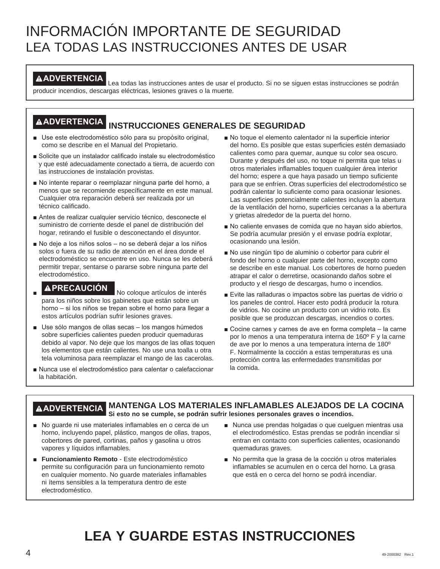## INFORMACIÓN IMPORTANTE DE SEGURIDAD LEA TODAS LAS INSTRUCCIONES ANTES DE USAR

**ADVERTENCIA** Lea todas las instrucciones antes de usar el producto. Si no se siguen estas instrucciones se podrán producir incendios, descargas eléctricas, lesiones graves o la muerte.

## **ADVERTENCIA INSTRUCCIONES GENERALES DE SEGURIDAD**

- Use este electrodoméstico sólo para su propósito original, como se describe en el Manual del Propietario.
- Solicite que un instalador calificado instale su electrodoméstico y que esté adecuadamente conectado a tierra, de acuerdo con las instrucciones de instalación provistas.
- No intente reparar o reemplazar ninguna parte del horno, a menos que se recomiende específicamente en este manual. Cualquier otra reparación deberá ser realizada por un técnico calificado.
- Antes de realizar cualquier servicio técnico, desconecte el suministro de corriente desde el panel de distribución del hogar, retirando el fusible o desconectando el disyuntor.
- No deje a los niños solos no se deberá dejar a los niños solos o fuera de su radio de atención en el área donde el electrodoméstico se encuentre en uso. Nunca se les deberá permitir trepar, sentarse o pararse sobre ninguna parte del electrodoméstico.
- 
- **APRECAUCIÓN** No coloque artículos de interés para los niños sobre los gabinetes que están sobre un horno - si los niños se trepan sobre el horno para llegar a estos artículos podrían sufrir lesiones graves.
- Use sólo mangos de ollas secas los mangos húmedos sobre superficies calientes pueden producir quemaduras debido al vapor. No deje que los mangos de las ollas toquen los elementos que están calientes. No use una toalla u otra tela voluminosa para reemplazar el mango de las cacerolas.
- Nunca use el electrodoméstico para calentar o calefaccionar la habitación.
- No toque el elemento calentador ni la superficie interior del horno. Es posible que estas superficies estén demasiado calientes como para quemar, aunque su color sea oscuro. Durante y después del uso, no toque ni permita que telas u otros materiales inflamables toquen cualquier área interior del horno; espere a que haya pasado un tiempo suficiente para que se enfríen. Otras superficies del electrodoméstico se podrán calentar lo suficiente como para ocasionar lesiones. Las superficies potencialmente calientes incluyen la abertura de la ventilación del horno, superficies cercanas a la abertura y grietas alrededor de la puerta del horno.
- No caliente envases de comida que no hayan sido abiertos. Se podría acumular presión y el envase podría explotar, ocasionando una lesión.
- No use ningún tipo de aluminio o cobertor para cubrir el fondo del horno o cualquier parte del horno, excepto como se describe en este manual. Los cobertores de horno pueden atrapar el calor o derretirse, ocasionando daños sobre el producto y el riesgo de descargas, humo o incendios.
- Evite las ralladuras o impactos sobre las puertas de vidrio o los paneles de control. Hacer esto podrá producir la rotura de vidrios. No cocine un producto con un vidrio roto. Es posible que se produzcan descargas, incendios o cortes.
- Gocine carnes y carnes de ave en forma completa la carne por lo menos a una temperatura interna de 160º F y la carne de ave por lo menos a una temperatura interna de 180º F. Normalmente la cocción a estas temperaturas es una protección contra las enfermedades transmitidas por la comida.

### **ADVERTENCIA MANTENGA LOS MATERIALES INFLAMABLES ALEJADOS DE LA COCINA Si esto no se cumple, se podrán sufrir lesiones personales graves o incendios.**

- No guarde ni use materiales inflamables en o cerca de un horno, incluyendo papel, plástico, mangos de ollas, trapos, cobertores de pared, cortinas, paños y gasolina u otros vapores y líquidos inflamables.
- **Funcionamiento Remoto** Este electrodoméstico permite su configuración para un funcionamiento remoto en cualquier momento. No guarde materiales inflamables ni ítems sensibles a la temperatura dentro de este electrodoméstico.
- Nunca use prendas holgadas o que cuelquen mientras usa el electrodoméstico. Estas prendas se podrán incendiar si entran en contacto con superficies calientes, ocasionando quemaduras graves.
- No permita que la grasa de la cocción u otros materiales inflamables se acumulen en o cerca del horno. La grasa que está en o cerca del horno se podrá incendiar.

## **LEA Y GUARDE ESTAS INSTRUCCIONES**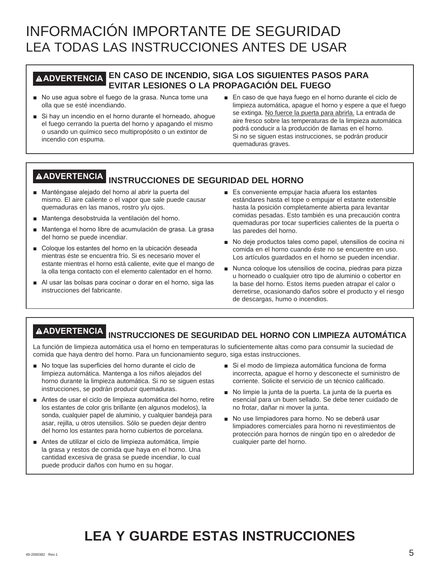## INFORMACIÓN IMPORTANTE DE SEGURIDAD LEA TODAS LAS INSTRUCCIONES ANTES DE USAR

## **ADVERTENCIA EN CASO DE INCENDIO, SIGA LOS SIGUIENTES PASOS PARA EVITAR LESIONES O LA PROPAGACIÓN DEL FUEGO**

- No use agua sobre el fuego de la grasa. Nunca tome una olla que se esté incendiando.
- $\blacksquare$  Si hay un incendio en el horno durante el horneado, ahogue el fuego cerrando la puerta del horno y apagando el mismo o usando un químico seco multipropósito o un extintor de incendio con espuma.
- En caso de que haya fuego en el horno durante el ciclo de limpieza automática, apague el horno y espere a que el fuego se extinga. No fuerce la puerta para abrirla. La entrada de aire fresco sobre las temperaturas de la limpieza automática podrá conducir a la producción de llamas en el horno. Si no se siguen estas instrucciones, se podrán producir quemaduras graves.

## **ADVERTENCIA INSTRUCCIONES DE SEGURIDAD DEL HORNO**

- Manténgase alejado del horno al abrir la puerta del mismo. El aire caliente o el vapor que sale puede causar quemaduras en las manos, rostro y/u ojos.
- Mantenga desobstruida la ventilación del horno.
- Mantenga el horno libre de acumulación de grasa. La grasa del horno se puede incendiar.
- Coloque los estantes del horno en la ubicación deseada mientras éste se encuentra frío. Si es necesario mover el estante mientras el horno está caliente, evite que el mango de la olla tenga contacto con el elemento calentador en el horno.
- Al usar las bolsas para cocinar o dorar en el horno, siga las instrucciones del fabricante.
- $\blacksquare$  Es conveniente empuiar hacia afuera los estantes estándares hasta el tope o empujar el estante extensible hasta la posición completamente abierta para levantar comidas pesadas. Esto también es una precaución contra quemaduras por tocar superficies calientes de la puerta o las paredes del horno.
- No deje productos tales como papel, utensilios de cocina ni comida en el horno cuando éste no se encuentre en uso. Los artículos guardados en el horno se pueden incendiar.
- Nunca coloque los utensilios de cocina, piedras para pizza u horneado o cualquier otro tipo de aluminio o cobertor en la base del horno. Estos ítems pueden atrapar el calor o derretirse, ocasionando daños sobre el producto y el riesgo de descargas, humo o incendios.

## **ADVERTENCIA INSTRUCCIONES DE SEGURIDAD DEL HORNO CON LIMPIEZA AUTOMÁTICA**

La función de limpieza automática usa el horno en temperaturas lo suficientemente altas como para consumir la suciedad de comida que haya dentro del horno. Para un funcionamiento seguro, siga estas instrucciones.

- No toque las superficies del horno durante el ciclo de limpieza automática. Mantenga a los niños alejados del horno durante la limpieza automática. Si no se siguen estas instrucciones, se podrán producir quemaduras.
- Antes de usar el ciclo de limpieza automática del horno, retire los estantes de color gris brillante (en algunos modelos), la sonda, cualquier papel de aluminio, y cualquier bandeja para asar, rejilla, u otros utensilios. Sólo se pueden dejar dentro del horno los estantes para horno cubiertos de porcelana.
- Antes de utilizar el ciclo de limpieza automática, limpie la grasa y restos de comida que haya en el horno. Una cantidad excesiva de grasa se puede incendiar, lo cual puede producir daños con humo en su hogar.
- Si el modo de limpieza automática funciona de forma incorrecta, apague el horno y desconecte el suministro de corriente. Solicite el servicio de un técnico calificado.
- No limpie la junta de la puerta. La junta de la puerta es esencial para un buen sellado. Se debe tener cuidado de no frotar, dañar ni mover la junta.
- No use limpiadores para horno. No se deberá usar limpiadores comerciales para horno ni revestimientos de protección para hornos de ningún tipo en o alrededor de cualquier parte del horno.

## **LEA Y GUARDE ESTAS INSTRUCCIONES**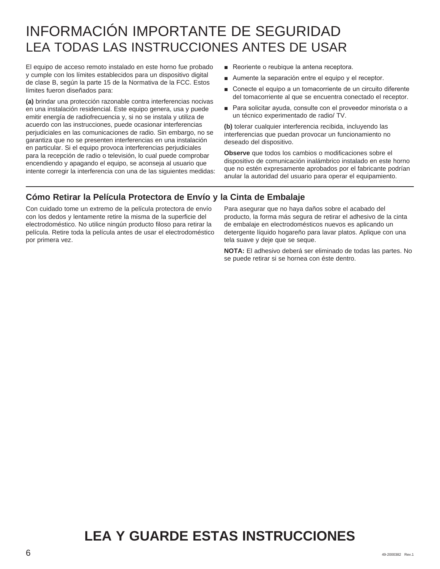## INFORMACIÓN IMPORTANTE DE SEGURIDAD LEA TODAS LAS INSTRUCCIONES ANTES DE USAR

El equipo de acceso remoto instalado en este horno fue probado y cumple con los límites establecidos para un dispositivo digital de clase B, según la parte 15 de la Normativa de la FCC. Estos límites fueron diseñados para:

**(a)** brindar una protección razonable contra interferencias nocivas en una instalación residencial. Este equipo genera, usa y puede emitir energía de radiofrecuencia y, si no se instala y utiliza de acuerdo con las instrucciones, puede ocasionar interferencias perjudiciales en las comunicaciones de radio. Sin embargo, no se garantiza que no se presenten interferencias en una instalación en particular. Si el equipo provoca interferencias perjudiciales para la recepción de radio o televisión, lo cual puede comprobar encendiendo y apagando el equipo, se aconseja al usuario que intente corregir la interferencia con una de las siguientes medidas:

- Reoriente o reubique la antena receptora.
- $\blacksquare$  Aumente la separación entre el equipo y el receptor.
- Conecte el equipo a un tomacorriente de un circuito diferente del tomacorriente al que se encuentra conectado el receptor.
- Para solicitar ayuda, consulte con el proveedor minorista o a un técnico experimentado de radio/ TV.

**(b)** tolerar cualquier interferencia recibida, incluyendo las interferencias que puedan provocar un funcionamiento no deseado del dispositivo.

**Observe** que todos los cambios o modificaciones sobre el dispositivo de comunicación inalámbrico instalado en este horno que no estén expresamente aprobados por el fabricante podrían anular la autoridad del usuario para operar el equipamiento.

## **Cómo Retirar la Película Protectora de Envío y la Cinta de Embalaje**

Con cuidado tome un extremo de la película protectora de envío con los dedos y lentamente retire la misma de la superficie del electrodoméstico. No utilice ningún producto filoso para retirar la película. Retire toda la película antes de usar el electrodoméstico por primera vez.

Para asegurar que no haya daños sobre el acabado del producto, la forma más segura de retirar el adhesivo de la cinta de embalaje en electrodomésticos nuevos es aplicando un detergente líquido hogareño para lavar platos. Aplique con una tela suave y deje que se seque.

**NOTA:** El adhesivo deberá ser eliminado de todas las partes. No se puede retirar si se hornea con éste dentro.

## **LEA Y GUARDE ESTAS INSTRUCCIONES**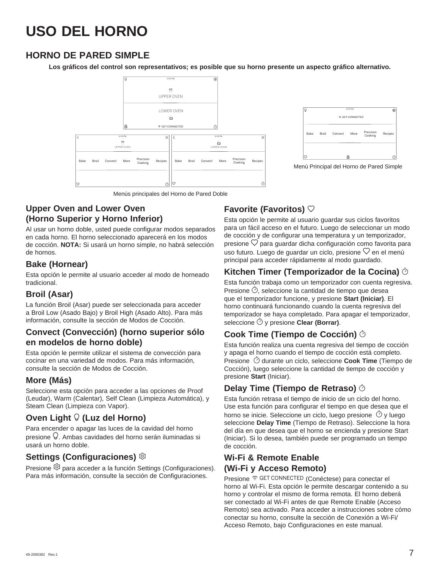## **HORNO DE PARED SIMPLE**

**Los gráficos del control son representativos; es posible que su horno presente un aspecto gráfico alternativo.**





Menú Principal del Horno de Pared Simple

Menús principales del Horno de Pared Doble

## **Upper Oven and Lower Oven (Horno Superior y Horno Inferior)**

Al usar un horno doble, usted puede configurar modos separados en cada horno. El horno seleccionado aparecerá en los modos de cocción. **NOTA:** Si usará un horno simple, no habrá selección de hornos.

## **Bake (Hornear)**

Esta opción le permite al usuario acceder al modo de horneado tradicional.

## **Broil (Asar)**

La función Broil (Asar) puede ser seleccionada para acceder a Broil Low (Asado Bajo) y Broil High (Asado Alto). Para más información, consulte la sección de Modos de Cocción.

## **Convect (Convección) (horno superior sólo en modelos de horno doble)**

Esta opción le permite utilizar el sistema de convección para cocinar en una variedad de modos. Para más información, consulte la sección de Modos de Cocción.

## **More (Más)**

Seleccione esta opción para acceder a las opciones de Proof (Leudar), Warm (Calentar), Self Clean (Limpieza Automática), y Steam Clean (Limpieza con Vapor).

## **Oven Light**  $\heartsuit$  **(Luz del Horno)**

Para encender o apagar las luces de la cavidad del horno presione  $\vee$ . Ambas cavidades del horno serán iluminadas si usará un horno doble.

## **Settings (Configuraciones)**

Presione <sup>@</sup> para acceder a la función Settings (Configuraciones). Para más información, consulte la sección de Configuraciones.

## **Favorite (Favoritos)**

Esta opción le permite al usuario guardar sus ciclos favoritos para un fácil acceso en el futuro. Luego de seleccionar un modo de cocción y de configurar una temperatura y un temporizador, presione  $\heartsuit$  para guardar dicha configuración como favorita para uso futuro. Luego de guardar un ciclo, presione  $\heartsuit$  en el menú principal para acceder rápidamente al modo guardado.

## **Kitchen Timer (Temporizador de la Cocina)**

Esta función trabaja como un temporizador con cuenta regresiva. Presione  $\oslash$ , seleccione la cantidad de tiempo que desea que el temporizador funcione, y presione **Start (Iniciar)**. El horno continuará funcionando cuando la cuenta regresiva del temporizador se haya completado. Para apagar el temporizador, seleccione y presione **Clear (Borrar)**.

## **Cook Time (Tiempo de Cocción)**

Esta función realiza una cuenta regresiva del tiempo de cocción y apaga el horno cuando el tiempo de cocción está completo. Presione  $\heartsuit$  durante un ciclo, seleccione **Cook Time** (Tiempo de Cocción), luego seleccione la cantidad de tiempo de cocción y presione **Start** (Iniciar).

## **Delay Time (Tiempo de Retraso)**

Esta función retrasa el tiempo de inicio de un ciclo del horno. Use esta función para configurar el tiempo en que desea que el horno se inicie. Seleccione un ciclo, luego presione  $\hat{\circ}$  y luego seleccione **Delay Time** (Tiempo de Retraso). Seleccione la hora del día en que desea que el horno se encienda y presione Start (Iniciar). Si lo desea, también puede ser programado un tiempo de cocción.

## **Wi-Fi & Remote Enable (Wi-Fi y Acceso Remoto)**

Presione <sup>C</sup> GET CONNECTED (Conéctese) para conectar el horno al Wi-Fi. Esta opción le permite descargar contenido a su horno y controlar el mismo de forma remota. El horno deberá ser conectado al Wi-Fi antes de que Remote Enable (Acceso Remoto) sea activado. Para acceder a instrucciones sobre cómo conectar su horno, consulte la sección de Conexión a Wi-Fi/ Acceso Remoto, bajo Configuraciones en este manual.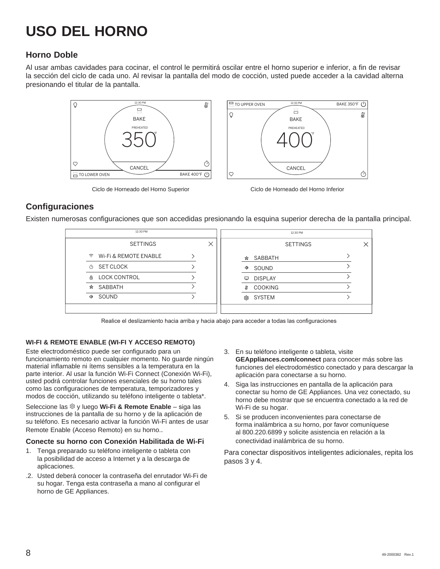## **Horno Doble**

Al usar ambas cavidades para cocinar, el control le permitirá oscilar entre el horno superior e inferior, a fin de revisar la sección del ciclo de cada uno. Al revisar la pantalla del modo de cocción, usted puede acceder a la cavidad alterna presionando el titular de la pantalla.





Ciclo de Horneado del Horno Superior Ciclo de Horneado del Horno Inferior

## **Configuraciones**

Existen numerosas configuraciones que son accedidas presionando la esquina superior derecha de la pantalla principal.

|               | 12:30 PM                |  |      | 12:30 PM        |  |
|---------------|-------------------------|--|------|-----------------|--|
|               | <b>SETTINGS</b>         |  |      | <b>SETTINGS</b> |  |
|               | ↑ Wi-Fi & REMOTE ENABLE |  |      | ☆ SABBATH       |  |
| Ò             | SET CLOCK               |  | Ф    | SOUND           |  |
| 品             | <b>LOCK CONTROL</b>     |  | Ξ.   | <b>DISPLAY</b>  |  |
| ☆             | SABBATH                 |  | S    | <b>COOKING</b>  |  |
| <b><br/>b</b> | SOUND                   |  | গ্রে | <b>SYSTEM</b>   |  |
|               |                         |  |      |                 |  |

Realice el deslizamiento hacia arriba y hacia abajo para acceder a todas las configuraciones

### **WI-FI & REMOTE ENABLE (WI-FI Y ACCESO REMOTO)**

Este electrodoméstico puede ser configurado para un funcionamiento remoto en cualquier momento. No guarde ningún material inflamable ni ítems sensibles a la temperatura en la parte interior. Al usar la función Wi-Fi Connect (Conexión Wi-Fi), usted podrá controlar funciones esenciales de su horno tales como las configuraciones de temperatura, temporizadores y modos de cocción, utilizando su teléfono inteligente o tableta\*.

Seleccione las <sup>®</sup> y luego Wi-Fi & Remote Enable - siga las instrucciones de la pantalla de su horno y de la aplicación de su teléfono. Es necesario activar la función Wi-Fi antes de usar Remote Enable (Acceso Remoto) en su horno..

### **Conecte su horno con Conexión Habilitada de Wi-Fi**

- 1. Tenga preparado su teléfono inteligente o tableta con la posibilidad de acceso a Internet y a la descarga de aplicaciones.
- .2. Usted deberá conocer la contraseña del enrutador Wi-Fi de su hogar. Tenga esta contraseña a mano al configurar el horno de GE Appliances.
- 3. En su teléfono inteligente o tableta, visite **GEAppliances.com/connect** para conocer más sobre las funciones del electrodoméstico conectado y para descargar la aplicación para conectarse a su horno.
- 4. Siga las instrucciones en pantalla de la aplicación para conectar su horno de GE Appliances. Una vez conectado, su horno debe mostrar que se encuentra conectado a la red de Wi-Fi de su hogar.
- 5. Si se producen inconvenientes para conectarse de forma inalámbrica a su horno, por favor comuníquese al 800.220.6899 y solicite asistencia en relación a la conectividad inalámbrica de su horno.

Para conectar dispositivos inteligentes adicionales, repita los pasos 3 y 4.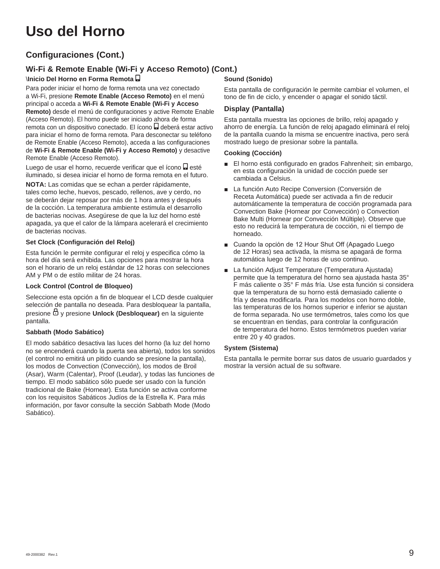## **Uso del Horno**

## **Configuraciones (Cont.)**

## **Wi-Fi & Remote Enable (Wi-Fi y Acceso Remoto) (Cont.)**

## \**Inicio Del Horno en Forma Remota**

Para poder iniciar el horno de forma remota una vez conectado a Wi-Fi, presione **Remote Enable (Acceso Remoto)** en el menú principal o acceda a **Wi-Fi & Remote Enable (Wi-Fi y Acceso Remoto)** desde el menú de configuraciones y active Remote Enable (Acceso Remoto). El horno puede ser iniciado ahora de forma remota con un dispositivo conectado. El ícono **D** deberá estar activo para iniciar el horno de forma remota. Para desconectar su teléfono de Remote Enable (Acceso Remoto), acceda a las configuraciones de **Wi-Fi & Remote Enable (Wi-Fi y Acceso Remoto)** y desactive Remote Enable (Acceso Remoto).

Luego de usar el horno, recuerde verificar que el ícono **e** esté iluminado, si desea iniciar el horno de forma remota en el futuro.

**NOTA:** Las comidas que se echan a perder rápidamente, tales como leche, huevos, pescado, rellenos, ave y cerdo, no se deberán dejar reposar por más de 1 hora antes y después de la cocción. La temperatura ambiente estimula el desarrollo de bacterias nocivas. Asegúrese de que la luz del horno esté apagada, ya que el calor de la lámpara acelerará el crecimiento de bacterias nocivas.

### **Set Clock (Configuración del Reloj)**

Esta función le permite configurar el reloj y especifica cómo la hora del día será exhibida. Las opciones para mostrar la hora son el horario de un reloj estándar de 12 horas con selecciones AM y PM o de estilo militar de 24 horas.

### **Lock Control (Control de Bloqueo)**

Seleccione esta opción a fin de bloquear el LCD desde cualquier selección de pantalla no deseada. Para desbloquear la pantalla, presione  $\Box$  y presione **Unlock (Desbloquear)** en la siguiente pantalla.

### **Sabbath (Modo Sabático)**

El modo sabático desactiva las luces del horno (la luz del horno no se encenderá cuando la puerta sea abierta), todos los sonidos (el control no emitirá un pitido cuando se presione la pantalla), los modos de Convection (Convección), los modos de Broil (Asar), Warm (Calentar), Proof (Leudar), y todas las funciones de tiempo. El modo sabático sólo puede ser usado con la función tradicional de Bake (Hornear). Esta función se activa conforme con los requisitos Sabáticos Judíos de la Estrella K. Para más información, por favor consulte la sección Sabbath Mode (Modo Sabático).

## **Sound (Sonido)**

Esta pantalla de configuración le permite cambiar el volumen, el tono de fin de ciclo, y encender o apagar el sonido táctil.

### **Display (Pantalla)**

Esta pantalla muestra las opciones de brillo, reloj apagado y ahorro de energía. La función de reloj apagado eliminará el reloj de la pantalla cuando la misma se encuentre inactiva, pero será mostrado luego de presionar sobre la pantalla.

### **Cooking (Cocción)**

- **El horno está configurado en grados Fahrenheit; sin embargo,** en esta configuración la unidad de cocción puede ser cambiada a Celsius.
- **Ŷ** La función Auto Recipe Conversion (Conversión de Receta Automática) puede ser activada a fin de reducir automáticamente la temperatura de cocción programada para Convection Bake (Hornear por Convección) o Convection Bake Multi (Hornear por Convección Múltiple). Observe que esto no reducirá la temperatura de cocción, ni el tiempo de horneado.
- Cuando la opción de 12 Hour Shut Off (Apagado Luego de 12 Horas) sea activada, la misma se apagará de forma automática luego de 12 horas de uso continuo.
- La función Adjust Temperature (Temperatura Ajustada) permite que la temperatura del horno sea ajustada hasta 35° F más caliente o 35° F más fría. Use esta función si considera que la temperatura de su horno está demasiado caliente o fría y desea modificarla. Para los modelos con horno doble, las temperaturas de los hornos superior e inferior se ajustan de forma separada. No use termómetros, tales como los que se encuentran en tiendas, para controlar la configuración de temperatura del horno. Estos termómetros pueden variar entre 20 y 40 grados.

### **System (Sistema)**

Esta pantalla le permite borrar sus datos de usuario guardados y mostrar la versión actual de su software.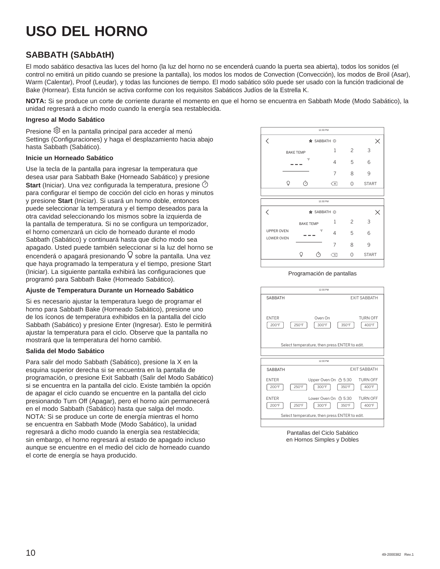## **SABBATH (SAbbAtH)**

El modo sabático desactiva las luces del horno (la luz del horno no se encenderá cuando la puerta sea abierta), todos los sonidos (el control no emitirá un pitido cuando se presione la pantalla), los modos los modos de Convection (Convección), los modos de Broil (Asar), Warm (Calentar), Proof (Leudar), y todas las funciones de tiempo. El modo sabático sólo puede ser usado con la función tradicional de Bake (Hornear). Esta función se activa conforme con los requisitos Sabáticos Judíos de la Estrella K.

**NOTA:** Si se produce un corte de corriente durante el momento en que el horno se encuentra en Sabbath Mode (Modo Sabático), la unidad regresará a dicho modo cuando la energía sea restablecida.

### **Ingreso al Modo Sabático**

Presione  $\ddot{\otimes}$  en la pantalla principal para acceder al menú Settings (Configuraciones) y haga el desplazamiento hacia abajo hasta Sabbath (Sabático).

### **Inicie un Horneado Sabático**

Use la tecla de la pantalla para ingresar la temperatura que desea usar para Sabbath Bake (Horneado Sabático) y presione **Start** (Iniciar). Una vez configurada la temperatura, presione  $\heartsuit$ para configurar el tiempo de cocción del ciclo en horas y minutos y presione **Start** (Iniciar). Si usará un horno doble, entonces puede seleccionar la temperatura y el tiempo deseados para la otra cavidad seleccionando los mismos sobre la izquierda de la pantalla de temperatura. Si no se configura un temporizador, el horno comenzará un ciclo de horneado durante el modo Sabbath (Sabático) y continuará hasta que dicho modo sea apagado. Usted puede también seleccionar si la luz del horno se encenderá o apagará presionando  $\sqrt{9}$  sobre la pantalla. Una vez que haya programado la temperatura y el tiempo, presione Start (Iniciar). La siguiente pantalla exhibirá las configuraciones que programó para Sabbath Bake (Horneado Sabático).

### **Ajuste de Temperatura Durante un Horneado Sabático**

Si es necesario ajustar la temperatura luego de programar el horno para Sabbath Bake (Horneado Sabático), presione uno de los íconos de temperatura exhibidos en la pantalla del ciclo Sabbath (Sabático) y presione Enter (Ingresar). Esto le permitirá ajustar la temperatura para el ciclo. Observe que la pantalla no mostrará que la temperatura del horno cambió.

### **Salida del Modo Sabático**

Para salir del modo Sabbath (Sabático), presione la X en la esquina superior derecha si se encuentra en la pantalla de programación, o presione Exit Sabbath (Salir del Modo Sabático) si se encuentra en la pantalla del ciclo. Existe también la opción de apagar el ciclo cuando se encuentre en la pantalla del ciclo presionando Turn Off (Apagar), pero el horno aún permanecerá en el modo Sabbath (Sabático) hasta que salga del modo. NOTA: Si se produce un corte de energía mientras el horno se encuentra en Sabbath Mode (Modo Sabático), la unidad regresará a dicho modo cuando la energía sea restablecida; sin embargo, el horno regresará al estado de apagado incluso aunque se encuentre en el medio del ciclo de horneado cuando el corte de energía se haya producido.



Programación de pantallas



Pantallas del Ciclo Sabático en Hornos Simples y Dobles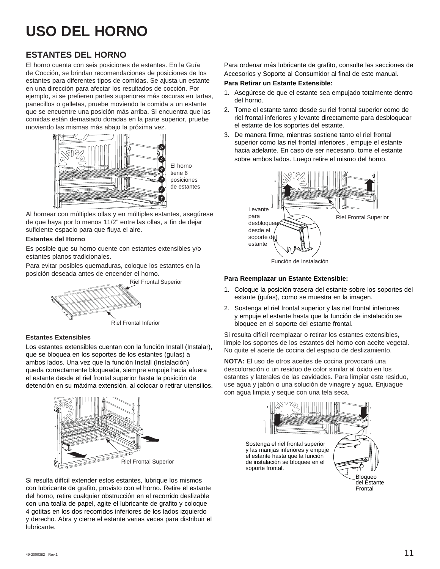## **ESTANTES DEL HORNO**

El horno cuenta con seis posiciones de estantes. En la Guía de Cocción, se brindan recomendaciones de posiciones de los estantes para diferentes tipos de comidas. Se ajusta un estante en una dirección para afectar los resultados de cocción. Por ejemplo, si se prefieren partes superiores más oscuras en tartas, panecillos o galletas, pruebe moviendo la comida a un estante que se encuentre una posición más arriba. Si encuentra que las comidas están demasiado doradas en la parte superior, pruebe moviendo las mismas más abajo la próxima vez.



El horno tiene 6 posiciones de estantes

Al hornear con múltiples ollas y en múltiples estantes, asegúrese de que haya por lo menos 11/2" entre las ollas, a fin de dejar suficiente espacio para que fluya el aire.

### **Estantes del Horno**

Es posible que su horno cuente con estantes extensibles y/o estantes planos tradicionales.

Para evitar posibles quemaduras, coloque los estantes en la posición deseada antes de encender el horno.

Riel Frontal Superior



### **Estantes Extensibles**

Los estantes extensibles cuentan con la función Install (Instalar), que se bloquea en los soportes de los estantes (guías) a ambos lados. Una vez que la función Install (Instalación) queda correctamente bloqueada, siempre empuje hacia afuera el estante desde el riel frontal superior hasta la posición de detención en su máxima extensión, al colocar o retirar utensilios.



Si resulta difícil extender estos estantes, lubrique los mismos con lubricante de grafito, provisto con el horno. Retire el estante del horno, retire cualquier obstrucción en el recorrido deslizable con una toalla de papel, agite el lubricante de grafito y coloque 4 gotitas en los dos recorridos inferiores de los lados izquierdo y derecho. Abra y cierre el estante varias veces para distribuir el lubricante.

Para ordenar más lubricante de grafito, consulte las secciones de Accesorios y Soporte al Consumidor al final de este manual.

### **Para Retirar un Estante Extensible:**

- 1. Asegúrese de que el estante sea empujado totalmente dentro del horno.
- 2. Tome el estante tanto desde su riel frontal superior como de riel frontal inferiores y levante directamente para desbloquear el estante de los soportes del estante.
- 3. De manera firme, mientras sostiene tanto el riel frontal superior como las riel frontal inferiores , empuje el estante hacia adelante. En caso de ser necesario, tome el estante sobre ambos lados. Luego retire el mismo del horno.



### **Para Reemplazar un Estante Extensible:**

- 1. Coloque la posición trasera del estante sobre los soportes del estante (guías), como se muestra en la imagen.
- 2. Sostenga el riel frontal superior y las riel frontal inferiores y empuje el estante hasta que la función de instalación se bloquee en el soporte del estante frontal.

Si resulta difícil reemplazar o retirar los estantes extensibles, limpie los soportes de los estantes del horno con aceite vegetal. No quite el aceite de cocina del espacio de deslizamiento.

**NOTA:** El uso de otros aceites de cocina provocará una descoloración o un residuo de color similar al óxido en los estantes y laterales de las cavidades. Para limpiar este residuo, use agua y jabón o una solución de vinagre y agua. Enjuague con agua limpia y seque con una tela seca.



Sostenga el riel frontal superior y las manijas inferiores y empuje el estante hasta que la función de instalación se bloquee en el soporte frontal.

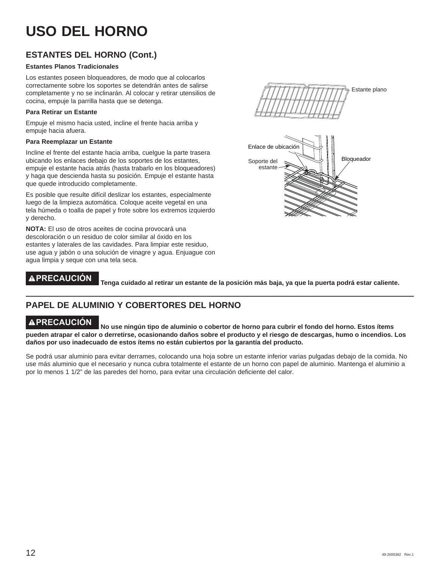## **ESTANTES DEL HORNO (Cont.)**

### **Estantes Planos Tradicionales**

Los estantes poseen bloqueadores, de modo que al colocarlos correctamente sobre los soportes se detendrán antes de salirse completamente y no se inclinarán. Al colocar y retirar utensilios de cocina, empuje la parrilla hasta que se detenga.

### **Para Retirar un Estante**

Empuje el mismo hacia usted, incline el frente hacia arriba y empuje hacia afuera.

### **Para Reemplazar un Estante**

Incline el frente del estante hacia arriba, cuelgue la parte trasera ubicando los enlaces debajo de los soportes de los estantes, empuje el estante hacia atrás (hasta trabarlo en los bloqueadores) y haga que descienda hasta su posición. Empuje el estante hasta que quede introducido completamente.

Es posible que resulte difícil deslizar los estantes, especialmente luego de la limpieza automática. Coloque aceite vegetal en una tela húmeda o toalla de papel y frote sobre los extremos izquierdo y derecho.

**NOTA:** El uso de otros aceites de cocina provocará una descoloración o un residuo de color similar al óxido en los estantes y laterales de las cavidades. Para limpiar este residuo, use agua y jabón o una solución de vinagre y agua. Enjuague con agua limpia y seque con una tela seca.

# Estante plano



**PRECAUCIÓN Tenga cuidado al retirar un estante de la posición más baja, ya que la puerta podrá estar caliente.**

## **PAPEL DE ALUMINIO Y COBERTORES DEL HORNO**

**PRECAUCIÓN No use ningún tipo de aluminio o cobertor de horno para cubrir el fondo del horno. Estos ítems pueden atrapar el calor o derretirse, ocasionando daños sobre el producto y el riesgo de descargas, humo o incendios. Los daños por uso inadecuado de estos ítems no están cubiertos por la garantía del producto.**

Se podrá usar aluminio para evitar derrames, colocando una hoja sobre un estante inferior varias pulgadas debajo de la comida. No use más aluminio que el necesario y nunca cubra totalmente el estante de un horno con papel de aluminio. Mantenga el aluminio a por lo menos 1 1/2" de las paredes del horno, para evitar una circulación deficiente del calor.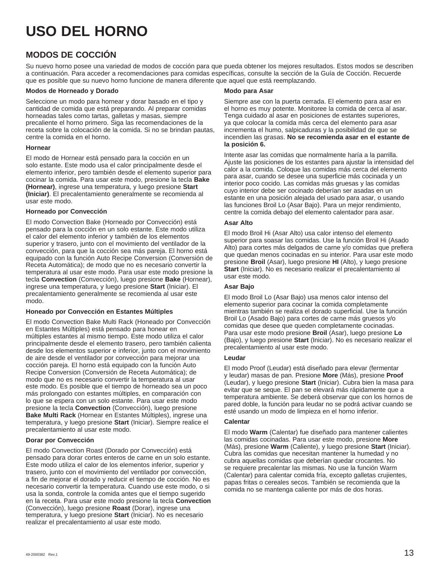## **MODOS DE COCCIÓN**

Su nuevo horno posee una variedad de modos de cocción para que pueda obtener los mejores resultados. Estos modos se describen a continuación. Para acceder a recomendaciones para comidas específicas, consulte la sección de la Guía de Cocción. Recuerde que es posible que su nuevo horno funcione de manera diferente que aquel que está reemplazando.

### **Modos de Horneado y Dorado**

Seleccione un modo para hornear y dorar basado en el tipo y cantidad de comida que está preparando. Al preparar comidas horneadas tales como tartas, galletas y masas, siempre precaliente el horno primero. Siga las recomendaciones de la receta sobre la colocación de la comida. Si no se brindan pautas, centre la comida en el horno.

### **Hornear**

El modo de Hornear está pensado para la cocción en un solo estante. Este modo usa el calor principalmente desde el elemento inferior, pero también desde el elemento superior para cocinar la comida. Para usar este modo, presione la tecla **Bake (Hornear)**, ingrese una temperatura, y luego presione **Start (Iniciar)**. El precalentamiento generalmente se recomienda al usar este modo.

### **Horneado por Convección**

El modo Convection Bake (Horneado por Convección) está pensado para la cocción en un solo estante. Este modo utiliza el calor del elemento inferior y también de los elementos superior y trasero, junto con el movimiento del ventilador de la convección, para que la cocción sea más pareja. El horno está equipado con la función Auto Recipe Conversion (Conversión de Receta Automática); de modo que no es necesario convertir la temperatura al usar este modo. Para usar este modo presione la tecla **Convection** (Convección), luego presione **Bake** (Hornear), ingrese una temperatura, y luego presione **Start** (Iniciar). El precalentamiento generalmente se recomienda al usar este modo.

### **Honeado por Convección en Estantes Múltiples**

El modo Convection Bake Multi Rack (Honeado por Convección en Estantes Múltiples) está pensado para honear en múltiples estantes al mismo tiempo. Este modo utiliza el calor principalmente desde el elemento trasero, pero también calienta desde los elementos superior e inferior, junto con el movimiento de aire desde el ventilador por convección para mejorar una cocción pareja. El horno está equipado con la función Auto Recipe Conversion (Conversión de Receta Automática); de modo que no es necesario convertir la temperatura al usar este modo. Es posible que el tiempo de horneado sea un poco más prolongado con estantes múltiples, en comparación con lo que se espera con un solo estante. Para usar este modo presione la tecla **Convection** (Convección), luego presione **Bake Multi Rack** (Hornear en Estantes Múltiples), ingrese una temperatura, y luego presione **Start** (Iniciar). Siempre realice el precalentamiento al usar este modo.

### **Dorar por Convección**

El modo Convection Roast (Dorado por Convección) está pensado para dorar cortes enteros de carne en un solo estante. Este modo utiliza el calor de los elementos inferior, superior y trasero, junto con el movimiento del ventilador por convección, a fin de mejorar el dorado y reducir el tiempo de cocción. No es necesario convertir la temperatura. Cuando use este modo, o si usa la sonda, controle la comida antes que el tiempo sugerido en la receta. Para usar este modo presione la tecla **Convection** (Convección), luego presione **Roast** (Dorar), ingrese una temperatura, y luego presione **Start** (Iniciar). No es necesario realizar el precalentamiento al usar este modo.

### **Modo para Asar**

Siempre ase con la puerta cerrada. El elemento para asar en el horno es muy potente. Monitoree la comida de cerca al asar. Tenga cuidado al asar en posiciones de estantes superiores, ya que colocar la comida más cerca del elemento para asar incrementa el humo, salpicaduras y la posibilidad de que se incendien las grasas. **No se recomienda asar en el estante de la posición 6.**

Intente asar las comidas que normalmente haría a la parrilla. Ajuste las posiciones de los estantes para ajustar la intensidad del calor a la comida. Coloque las comidas más cerca del elemento para asar, cuando se desee una superficie más cocinada y un interior poco cocido. Las comidas más gruesas y las comidas cuyo interior debe ser cocinado deberían ser asadas en un estante en una posición alejada del usado para asar, o usando las funciones Broil Lo (Asar Bajo). Para un mejor rendimiento, centre la comida debajo del elemento calentador para asar.

### **Asar Alto**

El modo Broil Hi (Asar Alto) usa calor intenso del elemento superior para soasar las comidas. Use la función Broil Hi (Asado Alto) para cortes más delgados de carne y/o comidas que prefiera que quedan menos cocinadas en su interior. Para usar este modo presione **Broil** (Asar), luego presione **HI** (Alto), y luego presione **Start** (Iniciar). No es necesario realizar el precalentamiento al usar este modo.

### **Asar Bajo**

El modo Broil Lo (Asar Bajo) usa menos calor intenso del elemento superior para cocinar la comida completamente mientras también se realiza el dorado superficial. Use la función Broil Lo (Asado Bajo) para cortes de carne más gruesos y/o comidas que desee que queden completamente cocinadas. Para usar este modo presione **Broil** (Asar), luego presione **Lo** (Bajo), y luego presione **Start** (Iniciar). No es necesario realizar el precalentamiento al usar este modo.

### **Leudar**

El modo Proof (Leudar) está diseñado para elevar (fermentar y leudar) masas de pan. Presione **More** (Más), presione **Proof** (Leudar), y luego presione **Start** (Iniciar). Cubra bien la masa para evitar que se seque. El pan se elevará más rápidamente que a temperatura ambiente. Se deberá observar que con los hornos de pared doble, la función para leudar no se podrá activar cuando se esté usando un modo de limpieza en el horno inferior.

### **Calentar**

El modo **Warm** (Calentar) fue diseñado para mantener calientes las comidas cocinadas. Para usar este modo, presione **More** (Más), presione **Warm** (Caliente), y luego presione **Start** (Iniciar). Cubra las comidas que necesitan mantener la humedad y no cubra aquellas comidas que deberían quedar crocantes. No se requiere precalentar las mismas. No use la función Warm (Calentar) para calentar comida fría, excepto galletas crujientes, papas fritas o cereales secos. También se recomienda que la comida no se mantenga caliente por más de dos horas.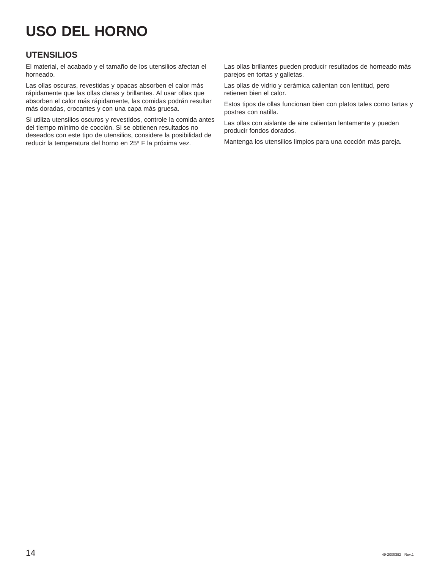## **UTENSILIOS**

El material, el acabado y el tamaño de los utensilios afectan el horneado.

Las ollas oscuras, revestidas y opacas absorben el calor más rápidamente que las ollas claras y brillantes. Al usar ollas que absorben el calor más rápidamente, las comidas podrán resultar más doradas, crocantes y con una capa más gruesa.

Si utiliza utensilios oscuros y revestidos, controle la comida antes del tiempo mínimo de cocción. Si se obtienen resultados no deseados con este tipo de utensilios, considere la posibilidad de reducir la temperatura del horno en 25º F la próxima vez.

Las ollas brillantes pueden producir resultados de horneado más parejos en tortas y galletas.

Las ollas de vidrio y cerámica calientan con lentitud, pero retienen bien el calor.

Estos tipos de ollas funcionan bien con platos tales como tartas y postres con natilla.

Las ollas con aislante de aire calientan lentamente y pueden producir fondos dorados.

Mantenga los utensilios limpios para una cocción más pareja.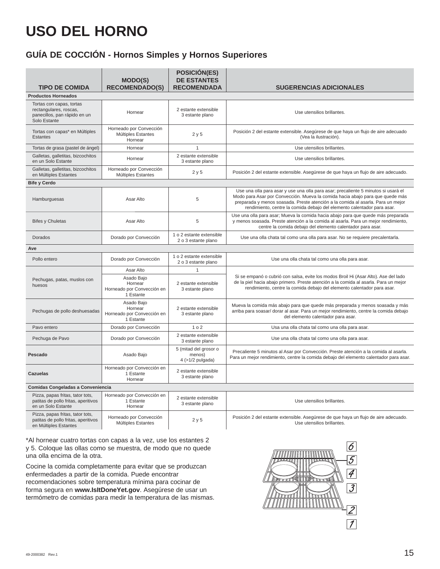## **GUÍA DE COCCIÓN - Hornos Simples y Hornos Superiores**

| <b>TIPO DE COMIDA</b>                                                                              | <b>MODO(S)</b><br><b>RECOMENDADO(S)</b>                          | <b>POSICIÓN(ES)</b><br><b>DE ESTANTES</b><br><b>RECOMENDADA</b> | <b>SUGERENCIAS ADICIONALES</b>                                                                                                                                                                                                                                                                                                    |
|----------------------------------------------------------------------------------------------------|------------------------------------------------------------------|-----------------------------------------------------------------|-----------------------------------------------------------------------------------------------------------------------------------------------------------------------------------------------------------------------------------------------------------------------------------------------------------------------------------|
| <b>Productos Horneados</b>                                                                         |                                                                  |                                                                 |                                                                                                                                                                                                                                                                                                                                   |
| Tortas con capas, tortas<br>rectangulares, roscas,<br>panecillos, pan rápido en un<br>Solo Estante | Hornear                                                          | 2 estante extensible<br>3 estante plano                         | Use utensilios brillantes.                                                                                                                                                                                                                                                                                                        |
| Tortas con capas* en Múltiples<br><b>Estantes</b>                                                  | Horneado por Convección<br>Múltiples Estantes<br>Hornear         | 2y5                                                             | Posición 2 del estante extensible. Asegúrese de que haya un flujo de aire adecuado<br>(Vea la ilustración).                                                                                                                                                                                                                       |
| Tortas de grasa (pastel de ángel)                                                                  | Hornear                                                          | $\mathbf{1}$                                                    | Use utensilios brillantes.                                                                                                                                                                                                                                                                                                        |
| Galletas, galletitas, bizcochitos<br>en un Solo Estante                                            | Hornear                                                          | 2 estante extensible<br>3 estante plano                         | Use utensilios brillantes.                                                                                                                                                                                                                                                                                                        |
| Galletas, galletitas, bizcochitos<br>en Múltiples Estantes                                         | Horneado por Convección<br>Múltiples Estantes                    | 2y5                                                             | Posición 2 del estante extensible. Asegúrese de que haya un flujo de aire adecuado.                                                                                                                                                                                                                                               |
| <b>Bife y Cerdo</b>                                                                                |                                                                  |                                                                 |                                                                                                                                                                                                                                                                                                                                   |
| Hamburguesas                                                                                       | Asar Alto                                                        | $\sqrt{5}$                                                      | Use una olla para asar y use una olla para asar; precaliente 5 minutos si usará el<br>Modo para Asar por Convección. Mueva la comida hacia abajo para que quede más<br>preparada y menos soasada. Preste atención a la comida al asarla. Para un mejor<br>rendimiento, centre la comida debajo del elemento calentador para asar. |
| <b>Bifes y Chuletas</b>                                                                            | Asar Alto                                                        | 5                                                               | Use una olla para asar; Mueva la comida hacia abajo para que quede más preparada<br>y menos soasada. Preste atención a la comida al asarla. Para un mejor rendimiento,<br>centre la comida debajo del elemento calentador para asar.                                                                                              |
| Dorados                                                                                            | Dorado por Convección                                            | 1 o 2 estante extensible<br>2 o 3 estante plano                 | Use una olla chata tal como una olla para asar. No se requiere precalentarla.                                                                                                                                                                                                                                                     |
| Ave                                                                                                |                                                                  |                                                                 |                                                                                                                                                                                                                                                                                                                                   |
| Pollo entero                                                                                       | Dorado por Convección                                            | 1 o 2 estante extensible<br>2 o 3 estante plano                 | Use una olla chata tal como una olla para asar.                                                                                                                                                                                                                                                                                   |
|                                                                                                    | Asar Alto                                                        | $\mathbf{1}$                                                    |                                                                                                                                                                                                                                                                                                                                   |
| Pechugas, patas, muslos con<br>huesos                                                              | Asado Bajo<br>Hornear<br>Horneado por Convección en<br>1 Estante | 2 estante extensible<br>3 estante plano                         | Si se empanó o cubrió con salsa, evite los modos Broil Hi (Asar Alto). Ase del lado<br>de la piel hacia abajo primero. Preste atención a la comida al asarla. Para un mejor<br>rendimiento, centre la comida debajo del elemento calentador para asar.                                                                            |
| Pechugas de pollo deshuesadas                                                                      | Asado Bajo<br>Hornear<br>Horneado por Convección en<br>1 Estante | 2 estante extensible<br>3 estante plano                         | Mueva la comida más abajo para que quede más preparada y menos soasada y más<br>arriba para soasar/ dorar al asar. Para un mejor rendimiento, centre la comida debajo<br>del elemento calentador para asar.                                                                                                                       |
| Pavo entero                                                                                        | Dorado por Convección                                            | 1 <sub>0</sub> 2                                                | Usa una olla chata tal como una olla para asar.                                                                                                                                                                                                                                                                                   |
| Pechuga de Pavo                                                                                    | Dorado por Convección                                            | 2 estante extensible<br>3 estante plano                         | Use una olla chata tal como una olla para asar.                                                                                                                                                                                                                                                                                   |
| Pescado                                                                                            | Asado Bajo                                                       | 5 (mitad del grosor o<br>menos)<br>$4$ (>1/2 pulgada)           | Precaliente 5 minutos al Asar por Convección. Preste atención a la comida al asarla.<br>Para un mejor rendimiento, centre la comida debajo del elemento calentador para asar.                                                                                                                                                     |
| <b>Cazuelas</b>                                                                                    | Horneado por Convección en<br>1 Estante<br>Hornear               | 2 estante extensible<br>3 estante plano                         |                                                                                                                                                                                                                                                                                                                                   |
| Comidas Congeladas a Conveniencia                                                                  |                                                                  |                                                                 |                                                                                                                                                                                                                                                                                                                                   |
| Pizza, papas fritas, tator tots,<br>patitas de pollo fritas, aperitivos<br>en un Solo Estante      | Horneado por Convección en<br>1 Estante<br>Hornear               | 2 estante extensible<br>3 estante plano                         | Use utensilios brillantes.                                                                                                                                                                                                                                                                                                        |
| Pizza, papas fritas, tator tots,<br>patitas de pollo fritas, aperitivos<br>en Múltiples Estantes   | Horneado por Convección<br>Múltiples Estantes                    | 2y5                                                             | Posición 2 del estante extensible. Asegúrese de que haya un flujo de aire adecuado.<br>Use utensilios brillantes.                                                                                                                                                                                                                 |

\*Al hornear cuatro tortas con capas a la vez, use los estantes 2 y 5. Coloque las ollas como se muestra, de modo que no quede una olla encima de la otra.

Cocine la comida completamente para evitar que se produzcan enfermedades a partir de la comida. Puede encontrar recomendaciones sobre temperatura mínima para cocinar de forma segura en **www.IsItDoneYet.gov**. Asegúrese de usar un termómetro de comidas para medir la temperatura de las mismas.

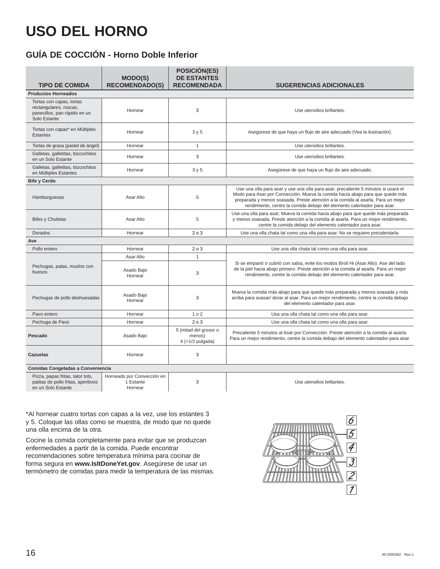## **GUÍA DE COCCIÓN - Horno Doble Inferior**

|                                                                                                    | <b>MODO(S)</b>                                     | <b>POSICIÓN(ES)</b><br><b>DE ESTANTES</b><br><b>RECOMENDADA</b> |                                                                                                                                                                                                                                                                                                                                   |
|----------------------------------------------------------------------------------------------------|----------------------------------------------------|-----------------------------------------------------------------|-----------------------------------------------------------------------------------------------------------------------------------------------------------------------------------------------------------------------------------------------------------------------------------------------------------------------------------|
| <b>TIPO DE COMIDA</b><br><b>Productos Horneados</b>                                                | <b>RECOMENDADO(S)</b>                              |                                                                 | <b>SUGERENCIAS ADICIONALES</b>                                                                                                                                                                                                                                                                                                    |
|                                                                                                    |                                                    |                                                                 |                                                                                                                                                                                                                                                                                                                                   |
| Tortas con capas, tortas<br>rectangulares, roscas,<br>panecillos, pan rápido en un<br>Solo Estante | Hornear                                            | 3                                                               | Use utensilios brillantes.                                                                                                                                                                                                                                                                                                        |
| Tortas con capas* en Múltiples<br><b>Estantes</b>                                                  | Hornear                                            | 3y5                                                             | Asegúrese de que haya un flujo de aire adecuado (Vea la ilustración).                                                                                                                                                                                                                                                             |
| Tortas de grasa (pastel de ángel)                                                                  | Hornear                                            | $\mathbf{1}$                                                    | Use utensilios brillantes.                                                                                                                                                                                                                                                                                                        |
| Galletas, galletitas, bizcochitos<br>en un Solo Estante                                            | Hornear                                            | 3                                                               | Use utensilios brillantes.                                                                                                                                                                                                                                                                                                        |
| Galletas, galletitas, bizcochitos<br>en Múltiples Estantes                                         | Hornear                                            | 3y5                                                             | Asegúrese de que haya un flujo de aire adecuado.                                                                                                                                                                                                                                                                                  |
| <b>Bife y Cerdo</b>                                                                                |                                                    |                                                                 |                                                                                                                                                                                                                                                                                                                                   |
| Hamburguesas                                                                                       | Asar Alto                                          | 5                                                               | Use una olla para asar y use una olla para asar; precaliente 5 minutos si usará el<br>Modo para Asar por Convección. Mueva la comida hacia abajo para que quede más<br>preparada y menos soasada. Preste atención a la comida al asarla. Para un mejor<br>rendimiento, centre la comida debajo del elemento calentador para asar. |
| <b>Bifes y Chuletas</b>                                                                            | Asar Alto                                          | 5                                                               | Use una olla para asar; Mueva la comida hacia abajo para que quede más preparada<br>y menos soasada. Preste atención a la comida al asarla. Para un mejor rendimiento,<br>centre la comida debajo del elemento calentador para asar.                                                                                              |
| Dorados                                                                                            | Hornear                                            | 203                                                             | Use una olla chata tal como una olla para asar. No se requiere precalentarla.                                                                                                                                                                                                                                                     |
| Ave                                                                                                |                                                    |                                                                 |                                                                                                                                                                                                                                                                                                                                   |
| Pollo entero                                                                                       | Hornear                                            | 203                                                             | Use una olla chata tal como una olla para asar.                                                                                                                                                                                                                                                                                   |
|                                                                                                    | Asar Alto                                          | $\mathbf{1}$                                                    |                                                                                                                                                                                                                                                                                                                                   |
| Pechugas, patas, muslos con<br>huesos                                                              | Asado Bajo<br>Hornear                              | 3                                                               | Si se empanó o cubrió con salsa, evite los modos Broil Hi (Asar Alto). Ase del lado<br>de la piel hacia abajo primero. Preste atención a la comida al asarla. Para un mejor<br>rendimiento, centre la comida debajo del elemento calentador para asar.                                                                            |
| Pechugas de pollo deshuesadas                                                                      | Asado Bajo<br>Hornear                              | 3                                                               | Mueva la comida más abajo para que quede más preparada y menos soasada y más<br>arriba para soasar/ dorar al asar. Para un mejor rendimiento, centre la comida debajo<br>del elemento calentador para asar.                                                                                                                       |
| Pavo entero                                                                                        | Hornear                                            | 1 <sub>0</sub> 2                                                | Usa una olla chata tal como una olla para asar.                                                                                                                                                                                                                                                                                   |
| Pechuga de Pavo                                                                                    | Hornear                                            | 203                                                             | Use una olla chata tal como una olla para asar.                                                                                                                                                                                                                                                                                   |
| Pescado                                                                                            | Asado Bajo                                         | 5 (mitad del grosor o<br>menos)<br>$4$ (>1/2 pulgada)           | Precaliente 5 minutos al Asar por Convección. Preste atención a la comida al asarla.<br>Para un mejor rendimiento, centre la comida debajo del elemento calentador para asar.                                                                                                                                                     |
| Cazuelas                                                                                           | Hornear                                            | 3                                                               |                                                                                                                                                                                                                                                                                                                                   |
| Comidas Congeladas a Conveniencia                                                                  |                                                    |                                                                 |                                                                                                                                                                                                                                                                                                                                   |
| Pizza, papas fritas, tator tots,<br>patitas de pollo fritas, aperitivos<br>en un Solo Estante      | Horneado por Convección en<br>1 Estante<br>Hornear | 3                                                               | Use utensilios brillantes.                                                                                                                                                                                                                                                                                                        |

\*Al hornear cuatro tortas con capas a la vez, use los estantes 3 y 5. Coloque las ollas como se muestra, de modo que no quede una olla encima de la otra.

Cocine la comida completamente para evitar que se produzcan enfermedades a partir de la comida. Puede encontrar recomendaciones sobre temperatura mínima para cocinar de forma segura en **www.IsItDoneYet.gov**. Asegúrese de usar un termómetro de comidas para medir la temperatura de las mismas.

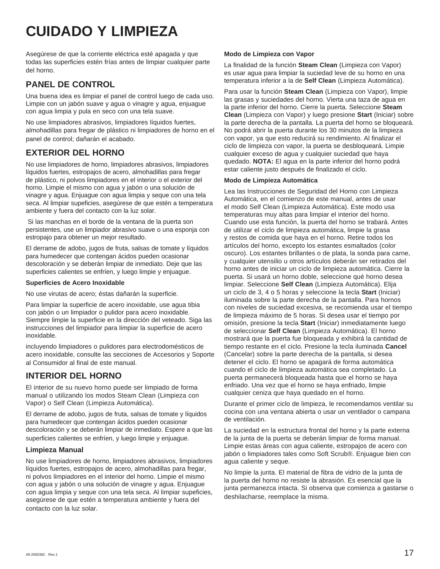## **CUIDADO Y LIMPIEZA**

Asegúrese de que la corriente eléctrica esté apagada y que todas las superficies estén frías antes de limpiar cualquier parte del horno.

## **PANEL DE CONTROL**

Una buena idea es limpiar el panel de control luego de cada uso. Limpie con un jabón suave y agua o vinagre y agua, enjuague con agua limpia y pula en seco con una tela suave.

No use limpiadores abrasivos, limpiadores líquidos fuertes, almohadillas para fregar de plástico ni limpiadores de horno en el panel de control; dañarán el acabado.

## **EXTERIOR DEL HORNO**

No use limpiadores de horno, limpiadores abrasivos, limpiadores líquidos fuertes, estropajos de acero, almohadillas para fregar de plástico, ni polvos limpiadores en el interior o el exterior del horno. Limpie el mismo con agua y jabón o una solución de vinagre y agua. Enjuague con agua limpia y seque con una tela seca. Al limpiar supeficies, asegúrese de que estén a temperatura ambiente y fuera del contacto con la luz solar.

 Si las manchas en el borde de la ventana de la puerta son persistentes, use un limpiador abrasivo suave o una esponja con estropajo para obtener un mejor resultado.

El derrame de adobo, jugos de fruta, salsas de tomate y líquidos para humedecer que contengan ácidos pueden ocasionar descoloración y se deberán limpiar de inmediato. Deje que las superficies calientes se enfríen, y luego limpie y enjuague.

### **Superficies de Acero Inoxidable**

No use virutas de acero; éstas dañarán la superficie.

Para limpiar la superficie de acero inoxidable, use agua tibia con jabón o un limpiador o pulidor para acero inoxidable. Siempre limpie la superficie en la dirección del veteado. Siga las instrucciones del limpiador para limpiar la superficie de acero inoxidable.

incluyendo limpiadores o pulidores para electrodomésticos de acero inoxidable, consulte las secciones de Accesorios y Soporte al Consumidor al final de este manual.

## **INTERIOR DEL HORNO**

El interior de su nuevo horno puede ser limpiado de forma manual o utilizando los modos Steam Clean (Limpieza con Vapor) o Self Clean (Limpieza Automática).

El derrame de adobo, jugos de fruta, salsas de tomate y líquidos para humedecer que contengan ácidos pueden ocasionar descoloración y se deberán limpiar de inmediato. Espere a que las superficies calientes se enfríen, y luego limpie y enjuague.

### **Limpieza Manual**

No use limpiadores de horno, limpiadores abrasivos, limpiadores líquidos fuertes, estropajos de acero, almohadillas para fregar, ni polvos limpiadores en el interior del horno. Limpie el mismo con agua y jabón o una solución de vinagre y agua. Enjuague con agua limpia y seque con una tela seca. Al limpiar supeficies, asegúrese de que estén a temperatura ambiente y fuera del contacto con la luz solar.

### **Modo de Limpieza con Vapor**

La finalidad de la función **Steam Clean** (Limpieza con Vapor) es usar agua para limpiar la suciedad leve de su horno en una temperatura inferior a la de **Self Clean** (Limpieza Automática).

Para usar la función **Steam Clean** (Limpieza con Vapor), limpie las grasas y suciedades del horno. Vierta una taza de agua en la parte inferior del horno. Cierre la puerta. Seleccione **Steam Clean** (Limpieza con Vapor) y luego presione **Start** (Iniciar) sobre la parte derecha de la pantalla. La puerta del horno se bloqueará. No podrá abrir la puerta durante los 30 minutos de la limpieza con vapor, ya que esto reducirá su rendimiento. Al finalizar el ciclo de limpieza con vapor, la puerta se desbloqueará. Limpie cualquier exceso de agua y cualquier suciedad que haya quedado. **NOTA:** El agua en la parte inferior del horno podrá estar caliente justo después de finalizado el ciclo.

### **Modo de Limpieza Automática**

Lea las Instrucciones de Seguridad del Horno con Limpieza Automática, en el comienzo de este manual, antes de usar el modo Self Clean (Limpieza Automática). Este modo usa temperaturas muy altas para limpiar el interior del horno. Cuando use esta función, la puerta del horno se trabará. Antes de utilizar el ciclo de limpieza automática, limpie la grasa y restos de comida que haya en el horno. Retire todos los artículos del horno, excepto los estantes esmaltados (color oscuro). Los estantes brillantes o de plata, la sonda para carne, y cualquier utensilio u otros artículos deberán ser retirados del horno antes de iniciar un ciclo de limpieza automática. Cierre la puerta. Si usará un horno doble, seleccione qué horno desea limpiar. Seleccione **Self Clean** (Limpieza Automática). Elija un ciclo de 3, 4 o 5 horas y seleccione la tecla **Start** (Iniciar) iluminada sobre la parte derecha de la pantalla. Para hornos con niveles de suciedad excesiva, se recomienda usar el tiempo de limpieza máximo de 5 horas. Si desea usar el tiempo por omisión, presione la tecla **Start** (Iniciar) inmediatamente luego de seleccionar **Self Clean** (Limpieza Automática). El horno mostrará que la puerta fue bloqueada y exhibirá la cantidad de tiempo restante en el ciclo. Presione la tecla iluminada **Cancel** (Cancelar) sobre la parte derecha de la pantalla, si desea detener el ciclo. El horno se apagará de forma automática cuando el ciclo de limpieza automática sea completado. La puerta permanecerá bloqueada hasta que el horno se haya enfriado. Una vez que el horno se haya enfriado, limpie cualquier ceniza que haya quedado en el horno.

Durante el primer ciclo de limpieza, le recomendamos ventilar su cocina con una ventana abierta o usar un ventilador o campana de ventilación.

La suciedad en la estructura frontal del horno y la parte externa de la junta de la puerta se deberán limpiar de forma manual. Limpie estas áreas con agua caliente, estropajos de acero con jabón o limpiadores tales como Soft Scrub®. Enjuague bien con agua caliente y seque.

No limpie la junta. El material de fibra de vidrio de la junta de la puerta del horno no resiste la abrasión. Es esencial que la junta permanezca intacta. Si observa que comienza a gastarse o deshilacharse, reemplace la misma.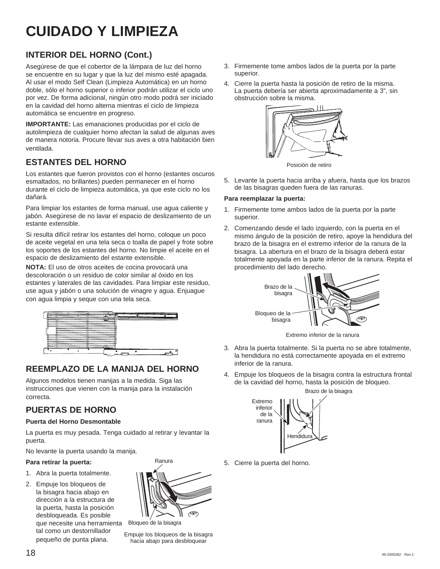## **CUIDADO Y LIMPIEZA**

## **INTERIOR DEL HORNO (Cont.)**

Asegúrese de que el cobertor de la lámpara de luz del horno se encuentre en su lugar y que la luz del mismo esté apagada. Al usar el modo Self Clean (Limpieza Automática) en un horno doble, sólo el horno superior o inferior podrán utilizar el ciclo uno por vez. De forma adicional, ningún otro modo podrá ser iniciado en la cavidad del horno alterna mientras el ciclo de limpieza automática se encuentre en progreso.

**IMPORTANTE:** Las emanaciones producidas por el ciclo de autolimpieza de cualquier horno afectan la salud de algunas aves de manera notoria. Procure llevar sus aves a otra habitación bien ventilada.

## **ESTANTES DEL HORNO**

Los estantes que fueron provistos con el horno (estantes oscuros esmaltados, no brillantes) pueden permanecer en el horno durante el ciclo de limpieza automática, ya que este ciclo no los dañará.

Para limpiar los estantes de forma manual, use agua caliente y jabón. Asegúrese de no lavar el espacio de deslizamiento de un estante extensible.

Si resulta difícil retirar los estantes del horno, coloque un poco de aceite vegetal en una tela seca o toalla de papel y frote sobre los soportes de los estantes del horno. No limpie el aceite en el espacio de deslizamiento del estante extensible.

**NOTA:** El uso de otros aceites de cocina provocará una descoloración o un residuo de color similar al óxido en los estantes y laterales de las cavidades. Para limpiar este residuo, use agua y jabón o una solución de vinagre y agua. Enjuague con agua limpia y seque con una tela seca.



## **REEMPLAZO DE LA MANIJA DEL HORNO**

Algunos modelos tienen manijas a la medida. Siga las instrucciones que vienen con la manija para la instalación correcta.

## **PUERTAS DE HORNO**

### **Puerta del Horno Desmontable**

La puerta es muy pesada. Tenga cuidado al retirar y levantar la puerta.

No levante la puerta usando la manija.

### **Para retirar la puerta:**

- 1. Abra la puerta totalmente.
- 2. Empuje los bloqueos de la bisagra hacia abajo en dirección a la estructura de la puerta, hasta la posición desbloqueada. Es posible que necesite una herramienta tal como un destornillador pequeño de punta plana.



Bloqueo de la bisagra

Empuje los bloqueos de la bisagra hacia abajo para desbloquear

- 3. Firmemente tome ambos lados de la puerta por la parte superior.
- 4. Cierre la puerta hasta la posición de retiro de la misma. La puerta debería ser abierta aproximadamente a 3", sin obstrucción sobre la misma.



Posición de retiro

5. Levante la puerta hacia arriba y afuera, hasta que los brazos de las bisagras queden fuera de las ranuras.

### **Para reemplazar la puerta:**

- 1. Firmemente tome ambos lados de la puerta por la parte superior.
- 2. Comenzando desde el lado izquierdo, con la puerta en el mismo ángulo de la posición de retiro, apoye la hendidura del brazo de la bisagra en el extremo inferior de la ranura de la bisagra. La abertura en el brazo de la bisagra deberá estar totalmente apoyada en la parte inferior de la ranura. Repita el procedimiento del lado derecho.



Extremo inferior de la ranura

- 3. Abra la puerta totalmente. Si la puerta no se abre totalmente, la hendidura no está correctamente apoyada en el extremo inferior de la ranura.
- 4. Empuje los bloqueos de la bisagra contra la estructura frontal de la cavidad del horno, hasta la posición de bloqueo.



5. Cierre la puerta del horno.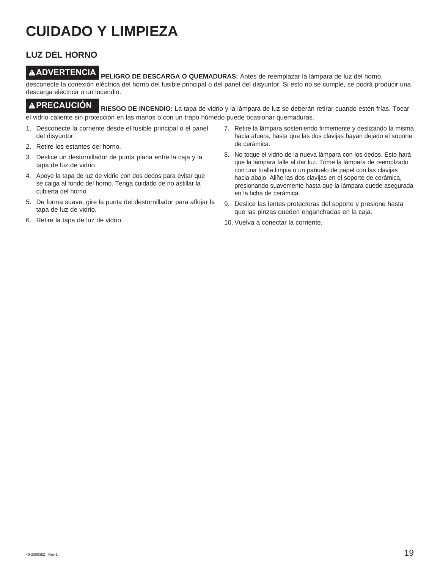## **CUIDADO Y LIMPIEZA**

## **LUZ DEL HORNO**

**ADVERTENCIA PELIGRO DE DESCARGA O QUEMADURAS:** Antes de reemplazar la lámpara de luz del horno, desconecte la conexión eléctrica del horno del fusible principal o del panel del disyuntor. Si esto no se cumple, se podrá producir una descarga eléctrica o un incendio.

**PRECAUCIÓN RIESGO DE INCENDIO:** La tapa de vidrio y la lámpara de luz se deberán retirar cuando estén frías. Tocar el vidrio caliente sin protección en las manos o con un trapo húmedo puede ocasionar quemaduras.

- 1. Desconecte la corriente desde el fusible principal o el panel del disyuntor.
- 2. Retire los estantes del horno.
- 3. Deslice un destornillador de punta plana entre la caja y la tapa de luz de vidrio.
- 4. Apoye la tapa de luz de vidrio con dos dedos para evitar que se caiga al fondo del horno. Tenga cuidado de no astillar la cubierta del horno.
- 5. De forma suave, gire la punta del destornillador para aflojar la tapa de luz de vidrio.
- 6. Retire la tapa de luz de vidrio.
- 7. Retire la lámpara sosteniendo firmemente y deslizando la misma hacia afuera, hasta que las dos clavijas hayan dejado el soporte de cerámica.
- 8. No toque el vidrio de la nueva lámpara con los dedos. Esto hará que la lámpara falle al dar luz. Tome la lámpara de reemplzado con una toalla limpia o un pañuelo de papel con las clavijas hacia abajo. Aliñe las dos clavijas en el soporte de cerámica, presionando suavemente hasta que la lámpara quede asegurada en la ficha de cerámica.
- 9. Deslice las lentes protectoras del soporte y presione hasta que las pinzas queden enganchadas en la caja.
- 10. Vuelva a conectar la corriente.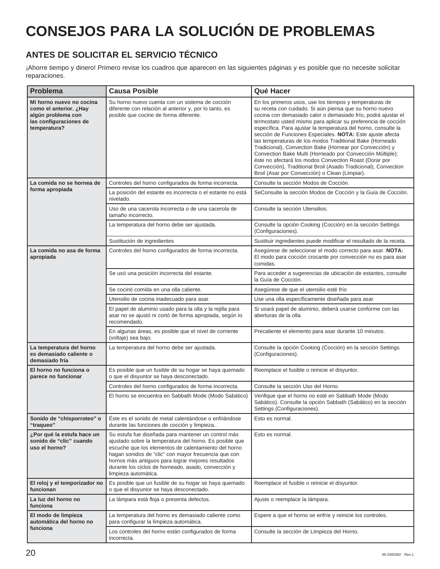## **CONSEJOS PARA LA SOLUCIÓN DE PROBLEMAS**

## **ANTES DE SOLICITAR EL SERVICIO TÉCNICO**

¡Ahorre tiempo y dinero! Primero revise los cuadros que aparecen en las siguientes páginas y es posible que no necesite solicitar reparaciones.

| Problema                                                                                                           | <b>Causa Posible</b>                                                                                                                                                                                                                                                                                                                                                | Qué Hacer                                                                                                                                                                                                                                                                                                                                                                                                                                                                                                                                                                                                                                                                                                                                              |
|--------------------------------------------------------------------------------------------------------------------|---------------------------------------------------------------------------------------------------------------------------------------------------------------------------------------------------------------------------------------------------------------------------------------------------------------------------------------------------------------------|--------------------------------------------------------------------------------------------------------------------------------------------------------------------------------------------------------------------------------------------------------------------------------------------------------------------------------------------------------------------------------------------------------------------------------------------------------------------------------------------------------------------------------------------------------------------------------------------------------------------------------------------------------------------------------------------------------------------------------------------------------|
| Mi horno nuevo no cocina<br>como el anterior. ¿Hay<br>algún problema con<br>las configuraciones de<br>temperatura? | Su horno nuevo cuenta con un sistema de cocción<br>diferente con relación al anterior y, por lo tanto, es<br>posible que cocine de forma diferente.                                                                                                                                                                                                                 | En los primeros usos, use los tiempos y temperaturas de<br>su receta con cuidado. Si aún piensa que su horno nuevo<br>cocina con demasiado calor o demasiado frío, podrá ajustar el<br>termostato usted mismo para aplicar su preferencia de cocción<br>específica. Para ajustar la temperatura del horno, consulte la<br>sección de Funciones Especiales. NOTA: Este ajuste afecta<br>las temperaturas de los modos Traditional Bake (Horneado<br>Tradicional), Convection Bake (Hornear por Convección) y<br>Convection Bake Multi (Horneado por Convección Múltiple);<br>éste no afectará los modos Convection Roast (Dorar por<br>Convección), Traditional Broil (Asado Tradicional), Convection<br>Broil (Asar por Convección) o Clean (Limpiar). |
| La comida no se hornea de                                                                                          | Controles del horno configurados de forma incorrecta.                                                                                                                                                                                                                                                                                                               | Consulte la sección Modos de Cocción.                                                                                                                                                                                                                                                                                                                                                                                                                                                                                                                                                                                                                                                                                                                  |
| forma apropiada                                                                                                    | La posición del estante es incorrecta o el estante no está<br>nivelado.                                                                                                                                                                                                                                                                                             | SeConsulte la sección Modos de Cocción y la Guía de Cocción.                                                                                                                                                                                                                                                                                                                                                                                                                                                                                                                                                                                                                                                                                           |
|                                                                                                                    | Uso de una cacerola incorrecta o de una cacerola de<br>tamaño incorrecto.                                                                                                                                                                                                                                                                                           | Consulte la sección Utensilios.                                                                                                                                                                                                                                                                                                                                                                                                                                                                                                                                                                                                                                                                                                                        |
|                                                                                                                    | La temperatura del horno debe ser ajustada.                                                                                                                                                                                                                                                                                                                         | Consulte la opción Cooking (Cocción) en la sección Settings<br>(Configuraciones).                                                                                                                                                                                                                                                                                                                                                                                                                                                                                                                                                                                                                                                                      |
|                                                                                                                    | Sustitución de ingredientes                                                                                                                                                                                                                                                                                                                                         | Sustituir ingredientes puede modificar el resultado de la receta.                                                                                                                                                                                                                                                                                                                                                                                                                                                                                                                                                                                                                                                                                      |
| La comida no asa de forma<br>apropiada                                                                             | Controles del horno configurados de forma incorrecta.                                                                                                                                                                                                                                                                                                               | Asegúrese de seleccionar el modo correcto para asar. NOTA:<br>El modo para cocción crocante por convección no es para asar<br>comidas.                                                                                                                                                                                                                                                                                                                                                                                                                                                                                                                                                                                                                 |
|                                                                                                                    | Se usó una posición incorrecta del estante.                                                                                                                                                                                                                                                                                                                         | Para acceder a sugerencias de ubicación de estantes, consulte<br>la Guía de Cocción.                                                                                                                                                                                                                                                                                                                                                                                                                                                                                                                                                                                                                                                                   |
|                                                                                                                    | Se cocinó comida en una olla caliente.                                                                                                                                                                                                                                                                                                                              | Asegúrese de que el utensilio esté frío                                                                                                                                                                                                                                                                                                                                                                                                                                                                                                                                                                                                                                                                                                                |
|                                                                                                                    | Utensilio de cocina inadecuado para asar.                                                                                                                                                                                                                                                                                                                           | Use una olla específicamente diseñada para asar                                                                                                                                                                                                                                                                                                                                                                                                                                                                                                                                                                                                                                                                                                        |
|                                                                                                                    | El papel de aluminio usado para la olla y la rejilla para<br>asar no se ajustó ni cortó de forma apropiada, según lo<br>recomendado.                                                                                                                                                                                                                                | Si usará papel de aluminio, deberá usarse conforme con las<br>aberturas de la olla.                                                                                                                                                                                                                                                                                                                                                                                                                                                                                                                                                                                                                                                                    |
|                                                                                                                    | En algunas áreas, es posible que el nivel de corriente<br>(voltaje) sea bajo.                                                                                                                                                                                                                                                                                       | Precaliente el elemento para asar durante 10 minutos.                                                                                                                                                                                                                                                                                                                                                                                                                                                                                                                                                                                                                                                                                                  |
| La temperatura del horno<br>es demasiado caliente o<br>demasiado fría                                              | La temperatura del horno debe ser ajustada.                                                                                                                                                                                                                                                                                                                         | Consulte la opción Cooking (Cocción) en la sección Settings<br>(Configuraciones).                                                                                                                                                                                                                                                                                                                                                                                                                                                                                                                                                                                                                                                                      |
| El horno no funciona o<br>parece no funcionar                                                                      | Es posible que un fusible de su hogar se haya quemado<br>o que el disyuntor se haya desconectado.                                                                                                                                                                                                                                                                   | Reemplace el fusible o reinicie el disyuntor.                                                                                                                                                                                                                                                                                                                                                                                                                                                                                                                                                                                                                                                                                                          |
|                                                                                                                    | Controles del horno configurados de forma incorrecta.                                                                                                                                                                                                                                                                                                               | Consulte la sección Uso del Horno.                                                                                                                                                                                                                                                                                                                                                                                                                                                                                                                                                                                                                                                                                                                     |
|                                                                                                                    | El horno se encuentra en Sabbath Mode (Modo Sabático)                                                                                                                                                                                                                                                                                                               | Verifique que el horno no esté en Sabbath Mode (Modo<br>Sabático). Consulte la opción Sabbath (Sabático) en la sección<br>Settings (Configuraciones).                                                                                                                                                                                                                                                                                                                                                                                                                                                                                                                                                                                                  |
| Sonido de "chisporroteo" o<br>"traqueo"                                                                            | Éste es el sonido de metal calentándose o enfriándose<br>durante las funciones de cocción y limpieza                                                                                                                                                                                                                                                                | Esto es normal.                                                                                                                                                                                                                                                                                                                                                                                                                                                                                                                                                                                                                                                                                                                                        |
| ¿Por qué la estufa hace un<br>sonido de "clic" cuando<br>uso el horno?                                             | Su estufa fue diseñada para mantener un control más<br>ajustado sobre la temperatura del horno. Es posible que<br>escuche que los elementos de calentamiento del horno<br>hagan sonidos de "clic" con mayor frecuencia que con<br>hornos más antiguos para lograr mejores resultados<br>durante los ciclos de horneado, asado, convección y<br>limpieza automática. | Esto es normal.                                                                                                                                                                                                                                                                                                                                                                                                                                                                                                                                                                                                                                                                                                                                        |
| El reloj y el temporizador no<br>funcionan                                                                         | Es posible que un fusible de su hogar se haya quemado<br>o que el disyuntor se haya desconectado.                                                                                                                                                                                                                                                                   | Reemplace el fusible o reinicie el disyuntor.                                                                                                                                                                                                                                                                                                                                                                                                                                                                                                                                                                                                                                                                                                          |
| La luz del horno no<br>funciona                                                                                    | La lámpara está floja o presenta defectos.                                                                                                                                                                                                                                                                                                                          | Ajuste o reemplace la lámpara.                                                                                                                                                                                                                                                                                                                                                                                                                                                                                                                                                                                                                                                                                                                         |
| El modo de limpieza<br>automática del horno no                                                                     | La temperatura del horno es demasiado caliente como<br>para configurar la limpieza automática.                                                                                                                                                                                                                                                                      | Espere a que el horno se enfríe y reinicie los controles.                                                                                                                                                                                                                                                                                                                                                                                                                                                                                                                                                                                                                                                                                              |
| funciona                                                                                                           | Los controles del horno están configurados de forma<br>incorrecta.                                                                                                                                                                                                                                                                                                  | Consulte la sección de Limpieza del Horno.                                                                                                                                                                                                                                                                                                                                                                                                                                                                                                                                                                                                                                                                                                             |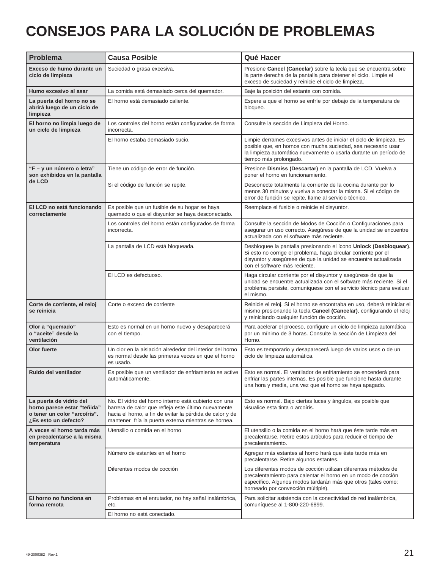## **CONSEJOS PARA LA SOLUCIÓN DE PROBLEMAS**

| <b>Problema</b>                                                                                                | <b>Causa Posible</b>                                                                                                                                                                                                            | Qué Hacer                                                                                                                                                                                                                               |
|----------------------------------------------------------------------------------------------------------------|---------------------------------------------------------------------------------------------------------------------------------------------------------------------------------------------------------------------------------|-----------------------------------------------------------------------------------------------------------------------------------------------------------------------------------------------------------------------------------------|
| Exceso de humo durante un<br>ciclo de limpieza                                                                 | Suciedad o grasa excesiva.                                                                                                                                                                                                      | Presione Cancel (Cancelar) sobre la tecla que se encuentra sobre<br>la parte derecha de la pantalla para detener el ciclo. Limpie el<br>exceso de suciedad y reinicie el ciclo de limpieza.                                             |
| Humo excesivo al asar                                                                                          | La comida está demasiado cerca del quemador.                                                                                                                                                                                    | Baje la posición del estante con comida.                                                                                                                                                                                                |
| La puerta del horno no se<br>abrirá luego de un ciclo de<br>limpieza                                           | El horno está demasiado caliente.                                                                                                                                                                                               | Espere a que el horno se enfríe por debajo de la temperatura de<br>bloqueo.                                                                                                                                                             |
| El horno no limpia luego de<br>un ciclo de limpieza                                                            | Los controles del horno están configurados de forma<br>incorrecta.                                                                                                                                                              | Consulte la sección de Limpieza del Horno.                                                                                                                                                                                              |
|                                                                                                                | El horno estaba demasiado sucio.                                                                                                                                                                                                | Limpie derrames excesivos antes de iniciar el ciclo de limpieza. Es<br>posible que, en hornos con mucha suciedad, sea necesario usar<br>la limpieza automática nuevamente o usarla durante un período de<br>tiempo más prolongado.      |
| "F - y un número o letra"<br>son exhibidos en la pantalla<br>de LCD                                            | Tiene un código de error de función.                                                                                                                                                                                            | Presione Dismiss (Descartar) en la pantalla de LCD. Vuelva a<br>poner el horno en funcionamiento.                                                                                                                                       |
|                                                                                                                | Si el código de función se repite.                                                                                                                                                                                              | Desconecte totalmente la corriente de la cocina durante por lo<br>menos 30 minutos y vuelva a conectar la misma. Si el código de<br>error de función se repite, llame al servicio técnico.                                              |
| El LCD no está funcionando<br>correctamente                                                                    | Es posible que un fusible de su hogar se haya<br>quemado o que el disyuntor se haya desconectado.                                                                                                                               | Reemplace el fusible o reinicie el disyuntor.                                                                                                                                                                                           |
|                                                                                                                | Los controles del horno están configurados de forma<br>incorrecta.                                                                                                                                                              | Consulte la sección de Modos de Cocción o Configuraciones para<br>asegurar un uso correcto. Asegúrese de que la unidad se encuentre<br>actualizada con el software más reciente.                                                        |
|                                                                                                                | La pantalla de LCD está bloqueada.                                                                                                                                                                                              | Desbloquee la pantalla presionando el ícono Unlock (Desbloquear).<br>Si esto no corrige el problema, haga circular corriente por el<br>disyuntor y asegúrese de que la unidad se encuentre actualizada<br>con el software más reciente. |
|                                                                                                                | El LCD es defectuoso.                                                                                                                                                                                                           | Haga circular corriente por el disyuntor y asegúrese de que la<br>unidad se encuentre actualizada con el software más reciente. Si el<br>problema persiste, comuníquese con el servicio técnico para evaluar<br>el mismo.               |
| Corte de corriente, el reloj<br>se reinicia                                                                    | Corte o exceso de corriente                                                                                                                                                                                                     | Reinicie el reloj. Si el horno se encontraba en uso, deberá reiniciar el<br>mismo presionando la tecla Cancel (Cancelar), configurando el reloj<br>y reiniciando cualquier función de cocción.                                          |
| Olor a "quemado"<br>o "aceite" desde la<br>ventilación                                                         | Esto es normal en un horno nuevo y desaparecerá<br>con el tiempo.                                                                                                                                                               | Para acelerar el proceso, configure un ciclo de limpieza automática<br>por un mínimo de 3 horas. Consulte la sección de Limpieza del<br>Horno.                                                                                          |
| Olor fuerte                                                                                                    | Un olor en la aislación alrededor del interior del horno<br>es normal desde las primeras veces en que el horno<br>es usado.                                                                                                     | Esto es temporario y desaparecerá luego de varios usos o de un<br>ciclo de limpieza automática.                                                                                                                                         |
| Ruido del ventilador                                                                                           | Es posible que un ventilador de enfriamiento se active<br>automáticamente.                                                                                                                                                      | Esto es normal. El ventilador de enfriamiento se encenderá para<br>enfriar las partes internas. Es posible que funcione hasta durante<br>una hora y media, una vez que el horno se haya apagado.                                        |
| La puerta de vidrio del<br>horno parece estar "teñida"<br>o tener un color "arcoíris".<br>¿Es esto un defecto? | No. El vidrio del horno interno está cubierto con una<br>barrera de calor que refleja este último nuevamente<br>hacia el horno, a fin de evitar la pérdida de calor y de<br>mantener fría la puerta externa mientras se hornea. | Esto es normal. Bajo ciertas luces y ángulos, es posible que<br>visualice esta tinta o arcoíris.                                                                                                                                        |
| A veces el horno tarda más<br>en precalentarse a la misma<br>temperatura                                       | Utensilio o comida en el horno                                                                                                                                                                                                  | El utensilio o la comida en el horno hará que éste tarde más en<br>precalentarse. Retire estos artículos para reducir el tiempo de<br>precalentamiento.                                                                                 |
|                                                                                                                | Número de estantes en el horno                                                                                                                                                                                                  | Agregar más estantes al horno hará que éste tarde más en<br>precalentarse. Retire algunos estantes.                                                                                                                                     |
|                                                                                                                | Diferentes modos de cocción                                                                                                                                                                                                     | Los diferentes modos de cocción utilizan diferentes métodos de<br>precalentamiento para calentar el horno en un modo de cocción<br>específico. Algunos modos tardarán más que otros (tales como:<br>horneado por convección múltiple).  |
| El horno no funciona en<br>forma remota                                                                        | Problemas en el enrutador, no hay señal inalámbrica,<br>etc.                                                                                                                                                                    | Para solicitar asistencia con la conectividad de red inalámbrica,<br>comuníquese al 1-800-220-6899.                                                                                                                                     |
|                                                                                                                | El horno no está conectado.                                                                                                                                                                                                     |                                                                                                                                                                                                                                         |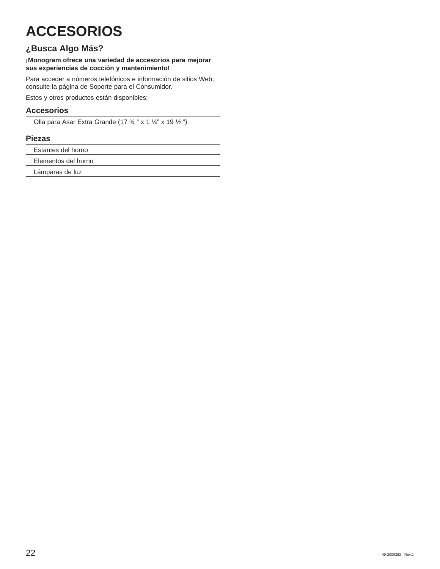## **ACCESORIOS**

## **¿Busca Algo Más?**

### **¡Monogram ofrece una variedad de accesorios para mejorar sus experiencias de cocción y mantenimiento!**

Para acceder a números telefónicos e información de sitios Web, consulte la página de Soporte para el Consumidor.

Estos y otros productos están disponibles:

## **Accesorios**

Olla para Asar Extra Grande (17 ¾ " x 1 ¼" x 19 ½ ")

## **Piezas**

Estantes del horno

Elementos del horno

Lámparas de luz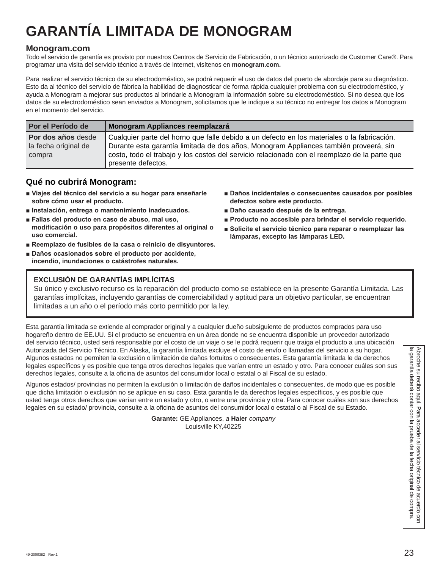## **GARANTÍA LIMITADA DE MONOGRAM**

## **Monogram.com**

Todo el servicio de garantía es provisto por nuestros Centros de Servicio de Fabricación, o un técnico autorizado de Customer Care®. Para programar una visita del servicio técnico a través de Internet, visítenos en **monogram.com.**

Para realizar el servicio técnico de su electrodoméstico, se podrá requerir el uso de datos del puerto de abordaje para su diagnóstico. Esto da al técnico del servicio de fábrica la habilidad de diagnosticar de forma rápida cualquier problema con su electrodoméstico, y ayuda a Monogram a mejorar sus productos al brindarle a Monogram la información sobre su electrodoméstico. Si no desea que los datos de su electrodoméstico sean enviados a Monogram, solicitamos que le indique a su técnico no entregar los datos a Monogram en el momento del servicio.

| Por el Período de    | Monogram Appliances reemplazará                                                               |  |
|----------------------|-----------------------------------------------------------------------------------------------|--|
| Por dos años desde   | Cualquier parte del horno que falle debido a un defecto en los materiales o la fabricación.   |  |
| la fecha original de | Durante esta garantía limitada de dos años, Monogram Appliances también proveerá, sin         |  |
| compra               | costo, todo el trabajo y los costos del servicio relacionado con el reemplazo de la parte que |  |
|                      | presente defectos.                                                                            |  |

## **Qué no cubrirá Monogram:**

- Viajes del técnico del servicio a su hogar para enseñarle **sobre cómo usar el producto.**
- $\blacksquare$  Instalación, entrega o mantenimiento inadecuados.
- **Exallas del producto en caso de abuso, mal uso, modificación o uso para propósitos diferentes al original o uso comercial.**
- Reemplazo de fusibles de la casa o reinicio de disyuntores.
- **Daños ocasionados sobre el producto por accidente, incendio, inundaciones o catástrofes naturales.**
- **Daños incidentales o consecuentes causados por posibles defectos sobre este producto.**
- **Daño causado después de la entrega.**
- **Producto no accesible para brindar el servicio requerido.**
- Solicite el servicio técnico para reparar o reemplazar las **lámparas, excepto las lámparas LED.**

## **EXCLUSIÓN DE GARANTÍAS IMPLÍCITAS**

Su único y exclusivo recurso es la reparación del producto como se establece en la presente Garantía Limitada. Las garantías implícitas, incluyendo garantías de comerciabilidad y aptitud para un objetivo particular, se encuentran limitadas a un año o el período más corto permitido por la ley.

Esta garantía limitada se extiende al comprador original y a cualquier dueño subsiguiente de productos comprados para uso hogareño dentro de EE.UU. Si el producto se encuentra en un área donde no se encuentra disponible un proveedor autorizado del servicio técnico, usted será responsable por el costo de un viaje o se le podrá requerir que traiga el producto a una ubicación Autorizada del Servicio Técnico. En Alaska, la garantía limitada excluye el costo de envío o llamadas del servicio a su hogar. Algunos estados no permiten la exclusión o limitación de daños fortuitos o consecuentes. Esta garantía limitada le da derechos legales específicos y es posible que tenga otros derechos legales que varían entre un estado y otro. Para conocer cuáles son sus derechos legales, consulte a la oficina de asuntos del consumidor local o estatal o al Fiscal de su estado.

Autorizada del Servicio Técnico. En Alaska, la garantía limitada e toctude enviro de la feracho de manda de la servicio de manda de la garantía limitada e di servicio de servicio de manda de la difera de la contar el difer Algunos estados/ provincias no permiten la exclusión o limitación de daños incidentales o consecuentes, de modo que es posible que dicha limitación o exclusión no se aplique en su caso. Esta garantía le da derechos legales específicos, y es posible que usted tenga otros derechos que varían entre un estado y otro, o entre una provincia y otra. Para conocer cuáles son sus derechos legales en su estado/ provincia, consulte a la oficina de asuntos del consumidor local o estatal o al Fiscal de su Estado.

**Garante:** GE Appliances, *a* **Haier** *company* Louisville KY,40225